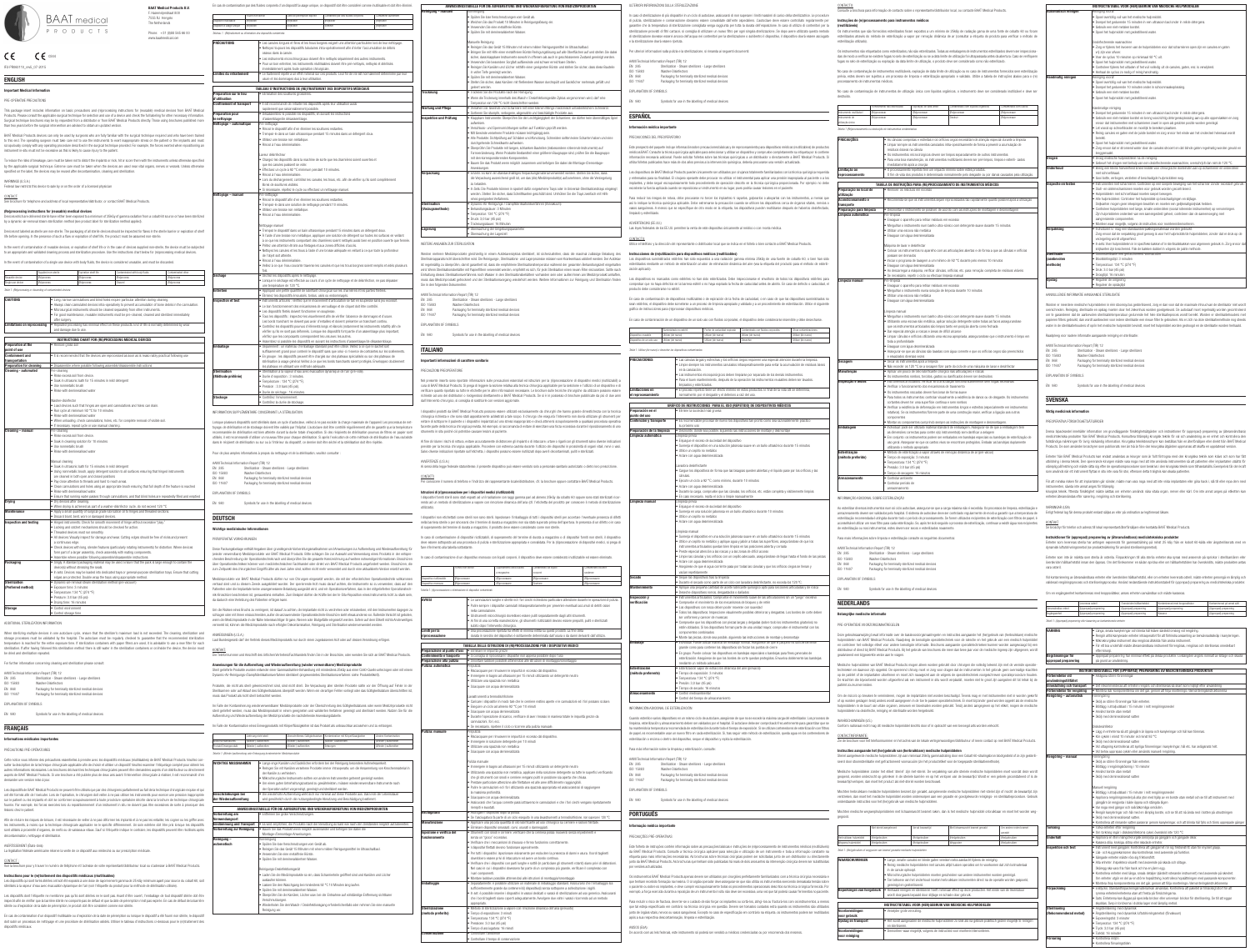|                                                                                  |                                                                                                                                                                                                                                                                                                                                                                                                                                                                 | <b>BAAT Medical Products B.V.</b>                             |                                                                                                                 | En cas de contamination par des fluides corporels d'un dispositif à usage unique, ce dispositif doit être considéré comme inutilisable et doit être éliminé.                                                                                                                                                                         | einigung – manuell                                                                                                                                                                  | ANWEISUNGSTABELLE FÜR DIE AUFBEREITUNG UND WIEDERAUFBEREITUNG VON MEDIZINPRODUKTEN<br>Vorreiniauna                                                                                                                                                                                                                                                                                                                                                                             |                            |                           | ULTERIORI INFORMAZIONI SULLA STERILIZZAZIONI                                                                                                                               |                                                              |
|----------------------------------------------------------------------------------|-----------------------------------------------------------------------------------------------------------------------------------------------------------------------------------------------------------------------------------------------------------------------------------------------------------------------------------------------------------------------------------------------------------------------------------------------------------------|---------------------------------------------------------------|-----------------------------------------------------------------------------------------------------------------|--------------------------------------------------------------------------------------------------------------------------------------------------------------------------------------------------------------------------------------------------------------------------------------------------------------------------------------|-------------------------------------------------------------------------------------------------------------------------------------------------------------------------------------|--------------------------------------------------------------------------------------------------------------------------------------------------------------------------------------------------------------------------------------------------------------------------------------------------------------------------------------------------------------------------------------------------------------------------------------------------------------------------------|----------------------------|---------------------------|----------------------------------------------------------------------------------------------------------------------------------------------------------------------------|--------------------------------------------------------------|
|                                                                                  | <b>BAAT</b> medical                                                                                                                                                                                                                                                                                                                                                                                                                                             | F. Hazemeijerstraat 800<br>7555 RJ Hengelo<br>The Netherlands | Fourni non stérile<br>positif réutilisable<br>(Re)traiter                                                       | Contaminé par des fluides corporels<br>Date de péremption expirée<br>Contaminé autrement<br>(Re)traiter<br>(Re)traiter<br>Reitraiter                                                                                                                                                                                                 |                                                                                                                                                                                     | · Spülen Sie lose Verschmutzungen vom Gerät ab.<br>· Weichen Sie das Produkt 10 Minuten in Reinigungslösung ein.                                                                                                                                                                                                                                                                                                                                                               |                            |                           | In caso di sterilizzazione di più dispositivi in un ciclo<br>di pulizia, sterilizzazione e conservazione dovrann                                                           |                                                              |
|                                                                                  | P R O D U C T S                                                                                                                                                                                                                                                                                                                                                                                                                                                 | Phone: +31 (0)88 565 66 00                                    | Dispositif à usage unique   (Re)traiter<br>Tableau 1 : (Re)traitement ou élimination des dispositifs contaminés | (Re)traiter<br>Éliminer<br>(Re)traiter                                                                                                                                                                                                                                                                                               |                                                                                                                                                                                     | · Verwenden Sie eine metallfreie Bürste.<br>· Spülen Sie mit demineralisiertem Wasser.                                                                                                                                                                                                                                                                                                                                                                                         |                            |                           | garantire che la temperatura di sterilizzazione cons<br>sterilizzazione provvisti di filtri cartacei, si consiglia<br>di sterilizzazione dovesse esservi ancora dell'acqua |                                                              |
|                                                                                  |                                                                                                                                                                                                                                                                                                                                                                                                                                                                 | www.baatmedical.com                                           | PRÉCAUTIONS                                                                                                     | · Les canules longues et fines et les trous borgnes exigent une attention particulière lors de leur nettoyage.<br>Nettoyez toujours les dispositifs tubulaires intra-opérativement afin d'éviter l'accumulation de débris                                                                                                            |                                                                                                                                                                                     | Manuelle Reinigung<br>· Reinigen Sie das Gerät 15 Minuten mit einem milden Reinigungsmittel im Ultraschallbad.                                                                                                                                                                                                                                                                                                                                                                 |                            |                           | e la sterilizzazione dovrà essere ripetuta.                                                                                                                                |                                                              |
| $C \epsilon$ 0344<br>CE                                                          |                                                                                                                                                                                                                                                                                                                                                                                                                                                                 |                                                               |                                                                                                                 | osseux dans la canule.<br>· Les instruments microchirurgicaux doivent être nettoyés séparément des autres instruments.                                                                                                                                                                                                               |                                                                                                                                                                                     | · Bringen Sie mit Hilfe einer metallfreien Bürste Reinigungslösung auf alle Oberflächen auf und stellen Sie dabei<br>sicher, dass klappbare Instrumente sowohl in offenem als auch in geschlossenem Zustand gereinigt werden.                                                                                                                                                                                                                                                  |                            |                           | Per ulteriori informazioni sulla pulizia e la sterilizzaz                                                                                                                  |                                                              |
| IFU-PR060110_rev5_07-2015                                                        |                                                                                                                                                                                                                                                                                                                                                                                                                                                                 |                                                               |                                                                                                                 | Pour un bon entretien, les instruments réutilisables doivent être pré-nettoyés, nettoyés et stérilisés<br>immédiatement après toute opération chirurgicale.                                                                                                                                                                          |                                                                                                                                                                                     | · Verwenden Sie besondere Sorgfalt aufGewinde und schwer erreichbare Stellen.<br>· Reinigen Sie Kanülen und Löcher mithilfe einer geeigneten Bürste und stellen Sie sicher, dass diese Bauteile<br>in voller Tiefe gereinigt werden.                                                                                                                                                                                                                                           |                            |                           | AAMI Technical Information Report (TIR) 12<br>EN 285<br>ISO 15883                                                                                                          | Sterilization - Steam steriliz<br>Washer-Disinfectors        |
| ENGLISH                                                                          |                                                                                                                                                                                                                                                                                                                                                                                                                                                                 |                                                               | Limites du retraitement                                                                                         | • Le traitement répété a un effet minimal sur ces produits. Leur fin de vie est normalement déterminée par leur<br>usure et les dommages dus à leur utilisation.                                                                                                                                                                     |                                                                                                                                                                                     | · Spülen Sie mit demineralisiertem Wasser.<br>· Stellen Sie sicher, dass Kanülen mit fließendem Wasser durchspült und Sacklöcher mehrmals gefüllt und                                                                                                                                                                                                                                                                                                                          |                            |                           | EN 868<br>ISO 11607                                                                                                                                                        | Packaging for terminally ste<br>Packaging for terminally ste |
| <b>Important Medical Information</b>                                             |                                                                                                                                                                                                                                                                                                                                                                                                                                                                 |                                                               | Préparation sur le lieu                                                                                         | TABLEAU D'INSTRUCTIONS DE (RE)TRAITEMENT DES DISPOSITIFS MÉDICAUX<br>· Élimination des souillures grossières.                                                                                                                                                                                                                        | <b>Trocknung</b>                                                                                                                                                                    | geleert werden.<br>· Trocknen Sie die Produkte nach der Reinigung.                                                                                                                                                                                                                                                                                                                                                                                                             |                            |                           | EXPLANATION OF SYMBOLS                                                                                                                                                     |                                                              |
| PRE-OPERATIVE PRECAUTIONS                                                        |                                                                                                                                                                                                                                                                                                                                                                                                                                                                 |                                                               | d'utilisation<br><b>Confinement et transport</b>                                                                | · Il est recommandé de retraiter les dispositifs après leur utilisation aussi                                                                                                                                                                                                                                                        | <b>Wartung und Pflege</b>                                                                                                                                                           | · Wenn die Trocknung innerhalb des Wasch-/ Desinfektionsgeräte-Zyklus vorgenommen wird, darf eine<br>Temperatur von 120 °C nicht überschritten werden.<br>· Versehen Sie Gewinde und Scharniere mit einer kleinen Menge medizinisch unbedenklichem Schmieröl.                                                                                                                                                                                                                  |                            |                           | EN 980                                                                                                                                                                     | Symbols for use in the labe                                  |
|                                                                                  | This package insert includes information on basic precautions and (re)processing instructions for (reusable) medical devices from BAAT Medical<br>Products. Please consult the applicable surgical technique for selection and use of a device and check the full labeling for other necessary information.<br>Surgical technique brochures may be by requested from a distributor or from BAAT Medical Products directly. Those using brochures published more |                                                               | Préparation pour<br>e nettoyage                                                                                 | rapidement que raisonnablement possible.<br>Désassemblez si possible les dispositifs, en suivant les instructions<br>d'assemblage/de désassemblage.                                                                                                                                                                                  | <b>Inspektion und Prüfung</b>                                                                                                                                                       | · Sortieren Sie stumpfe, verbogene, abgenutzte und beschädigte Produkte aus.<br>· Klappbare Instrumente: Überprüfen Sie die Leichtgängigkeit der Scharniere; sie dürfen kein übermäßiges Spiel                                                                                                                                                                                                                                                                                 |                            |                           | <b>ESPAÑOL</b>                                                                                                                                                             |                                                              |
|                                                                                  | than two years before the surgical intervention are advised to obtain an updated version.                                                                                                                                                                                                                                                                                                                                                                       |                                                               | lettoyage - automatique                                                                                         | Pré-nettoyage<br>Rincez le dispositif afin d'en éliminer les souillures restantes.                                                                                                                                                                                                                                                   |                                                                                                                                                                                     | aufweisen.<br>· Verschluss- und Sperrvorrichtungen sollten auf Funktion geprüft werden.<br>· Mit Gewinde versehene Produkte müssen leichtgängig sein.                                                                                                                                                                                                                                                                                                                          |                            |                           | Información médica importante                                                                                                                                              |                                                              |
|                                                                                  | BAAT Medical Products devices can only be used by surgeons who are fully familiar with the surgical technique required and who have been trained<br>to this end. The operating surgeon must take care not to use the instruments to exert inappropriate stress on the patient or the implants and must                                                                                                                                                          |                                                               |                                                                                                                 | · Trempez-le dans un bain ultrasonique pendant 15 minutes dans un détergent doux.<br>· Utilisez une brosse non métallique.<br>· Rincez à l'eau déminéralisée                                                                                                                                                                         |                                                                                                                                                                                     | Alle Produkte: Sichtprüfung auf Schäden und Abnutzung. Schneiden sollten keine Scharten haben und eine<br>durchgehende Schneidkante aufweisen.                                                                                                                                                                                                                                                                                                                                 |                            |                           | PRECAUCIONES DEL PREOPERATORIO                                                                                                                                             |                                                              |
|                                                                                  | scrupulously comply with any operating procedure described in the surgical technique provided. For example, the forces exerted when repositioning an<br>instrument in-situ must not be excessive as this is likely to cause injury to the patient.                                                                                                                                                                                                              |                                                               |                                                                                                                 | Laveur désinfecteur                                                                                                                                                                                                                                                                                                                  |                                                                                                                                                                                     | · Überprüfen Sie Produkte mit langen, schlanken Bauteilen (insbesondere rotierende Instrumente) auf<br>Formveränderung. Wenn Produkte Bestandteil einer größeren Baugruppe sind, prüfen Sie die Baugruppe                                                                                                                                                                                                                                                                      |                            |                           | Este prospecto del paquete incluye información sob<br>médicos BAAT. Consulte la técnica quirúrgica aplica<br>información necesaria adicional. Puede solicitar fol          |                                                              |
|                                                                                  | To reduce the risks of breakage, care must be taken not to distort the implants or nick, hit or score them with the instruments unless otherwise specified<br>by the applicable surgical technique. Extreme care must be taken when the devices are used near vital organs, nerves or vessels. Unless otherwise                                                                                                                                                 |                                                               |                                                                                                                 | · Chargez les dispositifs dans la machine de sorte que les charnières soient ouvertes et<br>que les canules puissent se vider.                                                                                                                                                                                                       |                                                                                                                                                                                     | mit den korrespondierenden Komponenten.<br>· Bauen Sie das Produkt wenn möglich zusammen und befolgen Sie dabei die Montage-/Demontage-<br>Anweisungen.                                                                                                                                                                                                                                                                                                                        |                            |                           | utiliza folletos publicados hace más de dos años pr                                                                                                                        |                                                              |
| WARNINGS (U.S.A.)                                                                | specified on the label, the devices may be reused after decontamination, cleaning and sterilization.                                                                                                                                                                                                                                                                                                                                                            |                                                               |                                                                                                                 | · Effectuez un cycle à 92 °C minimum pendant 10 minutes.<br>· Rincez à l'eau déminéralisée.<br>· Lors du déchargement, contrôlez les canules, les trous, etc. afin de vérifier qu'ils sont complètement                                                                                                                              | Verpackung                                                                                                                                                                          | · Einzeln: Es kann ein standardmäßiges Verpackungsmaterial verwendet werden. Stellen Sie sicher, dass<br>die Verpackung ausreichend groß ist, um das (die) Medizinprodukt(e) aufzunehmen, ohne die Versiegelung                                                                                                                                                                                                                                                                |                            |                           | Los dispositivos de BAAT Medical Products pueden<br>y entrenados para su finalidad. El cirujano operante                                                                   |                                                              |
|                                                                                  | Federal law restricts this device to sale by or on the order of a licensed physician                                                                                                                                                                                                                                                                                                                                                                            |                                                               |                                                                                                                 | libres de souillures visibles.<br>· Si nécessaire, répétez le cycle ou effectuez un nettoyage manuel.                                                                                                                                                                                                                                |                                                                                                                                                                                     | zu belasten<br>In Sets: Die Produkte können in speziell dafür vorgesehene Trays oder in Universal-Sterilisationstrays eingelegt<br>werden. Stellen Sie sicher, dass Schnittkanten geschützt sind. Umhüllen Sie die Trays zweifach mit Hilfe                                                                                                                                                                                                                                    |                            |                           | implantes, y debe sequir escrupulosamente todo p<br>excederse la fuerza aplicada cuando se reposiciona                                                                     |                                                              |
| CONTACT:                                                                         | See brochure for telephone and address of local representative/distributor, or contact BAAT Medical Products.                                                                                                                                                                                                                                                                                                                                                   |                                                               | Nettoyage – manuel                                                                                              | Pré-nettoyage<br>· Rincez le dispositif afin d'en éliminer les souillures restantes.<br>. Trempez-le dans une solution de nettoyage pendant 10 minutes.                                                                                                                                                                              | <b>Sterilisation</b>                                                                                                                                                                | eines geeigneten Verfahrens.<br>· Dynamic-Air-Reinigungs-/ Dampfsterilisationsverfahren (Vorvakuum)                                                                                                                                                                                                                                                                                                                                                                            |                            |                           | Para reducir los riesgos de rotura, debe procurars<br>así lo indique la técnica quirúrgica aplicable. Debe                                                                 |                                                              |
|                                                                                  | (Re)processing instructions for (reusable) medical devices<br>Devices which are delivered sterile have either been exposed to a minimum of 25kGy of gamma radiation from a cobalt 60 source or have been sterilized                                                                                                                                                                                                                                             |                                                               |                                                                                                                 | · Utilisez une brosse non métallique.<br>· Rincez à l'eau déminéralisée.                                                                                                                                                                                                                                                             | (Vorzugsmethode)                                                                                                                                                                    | · Behandlungsdauer: 3 Minuten<br>• Temperatur: 134 °C (274 °F)                                                                                                                                                                                                                                                                                                                                                                                                                 |                            |                           | vasos sanguíneos. A menos que se especifique de<br>limpiado y esterilizado.                                                                                                |                                                              |
|                                                                                  | by a dynamic-air-removal steam sterilization method (see product label for sterilization method applied).                                                                                                                                                                                                                                                                                                                                                       |                                                               |                                                                                                                 | Nettoyage manuel                                                                                                                                                                                                                                                                                                                     | Lagerung                                                                                                                                                                            | $\bullet$ Druck: 3,0 bar (45 psi)<br>· Trocknungsdauer: 16 Minuten<br>• Überwachung der Umgebungsparameter                                                                                                                                                                                                                                                                                                                                                                     |                            |                           | ADVERTENCIAS (EE.UU.)<br>Las leyes federales de los EE.UU. permiten la venta                                                                                               |                                                              |
|                                                                                  | Devices not labeled as sterile are non-sterile. The packaging of all sterile devices should be inspected for flaws in the sterile barrier or expiration of shelf<br>life before opening. In the presence of such a flaw or expiration of shelf life, the product must be assumed non-sterile.                                                                                                                                                                   |                                                               |                                                                                                                 | · Trempez le dispositif dans un bain ultrasonique pendant 15 minutes dans un détergent doux.<br>. À l'aide d'une brosse non métallique, appliquer une solution de détergent sur toutes les surfaces en veillant<br>à ce que les instruments comportant des charnières soient nettoyés aussi bien en position ouverte que fermée.     |                                                                                                                                                                                     | • Überwachung der Lagerzeit                                                                                                                                                                                                                                                                                                                                                                                                                                                    |                            |                           | CONTACTO:                                                                                                                                                                  |                                                              |
|                                                                                  | In the event of contamination of reusable devices, or expiration of shelf life or in the case of devices supplied non-sterile, the device must be subjected<br>to an appropriate and validated cleaning process and sterilization procedure. Use the instructions chart below for (re)processing medical devices.                                                                                                                                               |                                                               |                                                                                                                 | · Prêtez une attention étroite aux filetages et aux zones difficiles d'accès.<br>Nettoyez les canules et les trous à l'aide d'une brosse adéquate en veillant à ce que toute la profondeur »                                                                                                                                         | WEITERE ANGABEN ZUR STERILISATION                                                                                                                                                   |                                                                                                                                                                                                                                                                                                                                                                                                                                                                                |                            |                           | Utilice el teléfono y la dirección del representante o                                                                                                                     |                                                              |
|                                                                                  | In the event of contamination of a single use device with body fluids, the device is considered unusable, and must be discarded.                                                                                                                                                                                                                                                                                                                                |                                                               |                                                                                                                 | de l'objet soit atteinte.<br>Rincez à l'eau déminéralisée.<br>Veillez à ce que l'eau courante traverse les canules et que les trous borgnes soient remplis et vidés plusieurs                                                                                                                                                        |                                                                                                                                                                                     | Werden mehrere Medizinprodukte gleichzeitig in einem Autoklavenzyklus sterilisiert, ist sicherzustellen, dass die maximal zulässige Beladung des<br>Sterilisierapparats nicht überschritten wird. Die Reinigungs-, Sterilisations- und Lagerprozesse müssen vom Krankenhaus validiert werden. Der Autoklav<br>ist regelmäßig zu überprüfen, damit garantiert ist, dass die empfohlene Sterilisationstemperatur während der gesamten Behandlungszeit eingehalten                |                            |                           | Instrucciones de (re)utilización para dispositi<br>Los dispositivos suministrados estériles han sido e<br>esterilizados mediante un método de esterilización               |                                                              |
| usable device                                                                    | Supplied non-sterile<br>Expiration shelf life<br>Contaminated with body fluids<br>(Re)process<br>(Re)process<br>(Re)process                                                                                                                                                                                                                                                                                                                                     | Contaminated other<br>(Re)process                             | Séchage                                                                                                         | fois.<br>· Séchez les dispositifs après le nettoyage.                                                                                                                                                                                                                                                                                |                                                                                                                                                                                     | wird. Wenn Sterilisationsbehälter mit Papierfiltern verwendet werden, empfiehlt es sich, für jede Sterilisation einen neuen Filter einzusetzen. Sollte nach<br>Einhaltung dieses Sterilisationsverfahrens noch Wasser in den Sterilisationsbehältern vorhanden sein oder außen/innen am Medizinprodukt anhaften,                                                                                                                                                               |                            |                           | zación aplicado).                                                                                                                                                          |                                                              |
| ingle use device                                                                 | (Re)process<br>(Re)process<br>Discard                                                                                                                                                                                                                                                                                                                                                                                                                           | (Re)process                                                   |                                                                                                                 | Lorsque le séchage est effectué au cours d'un cycle de nettoyage et de désinfection, ne pas dépasser<br>une température de 120 °C.                                                                                                                                                                                                   | Sie in den folgenden Dokumenten:                                                                                                                                                    | muss das Medizinprodukt getrocknet und der Sterilisationsvorgang wiederholt werden. Weitere Informationen zur Reinigung und Sterilisation finden                                                                                                                                                                                                                                                                                                                               |                            |                           | Los dispositivos no marcados como estériles no l<br>comprobar que no haya defectos en la barrera est<br>producto debe considerarse no estéril.                             |                                                              |
| Table 1: (Re)processing or discarding of contaminated devices<br><b>CAUTIONS</b> | . Long, narrow cannulations and blind holes require particular attention during cleaning.                                                                                                                                                                                                                                                                                                                                                                       |                                                               | Entretien<br>Inspection et test                                                                                 | · Appliquez une petite quantité de lubrifiant chirurgical sur les charnières et les parties filetées.<br>· Éliminez les dispositifs émoussés, tordus, usés ou endommagés,<br>· Instruments articulés : vérifiez que le mouvement d'articulation se fait en souplesse sans jeu excessif.                                              | AAMI Technical Information Report (TIR) 12<br>EN 285                                                                                                                                | Sterilization - Steam sterilizers - Large sterilizers                                                                                                                                                                                                                                                                                                                                                                                                                          |                            |                           | En caso de contaminación de dispositivos reutilizab                                                                                                                        |                                                              |
|                                                                                  | . Always clean cannulated devices intra-operatively to prevent accumulation of bone debris in the cannulation.<br>· Microsurgical instruments should be cleaned separately from other instruments.                                                                                                                                                                                                                                                              |                                                               |                                                                                                                 | · Le bon fonctionnement des mécanismes de verrouillage et de cliquet doit être contrôlé.<br>· Les dispositifs filetés doivent fonctionner en souplesse.                                                                                                                                                                              | ISO 15883<br>EN 868                                                                                                                                                                 | Washer-Disinfectors<br>Packaging for terminally sterilized medical devices                                                                                                                                                                                                                                                                                                                                                                                                     |                            |                           | sean estériles, el dispositivo debe someterse a un p<br>gráfico de instrucciones para (re)procesar dispositiv                                                              |                                                              |
|                                                                                  | For good maintenance, reusable instruments must be pre-cleaned, cleaned and sterilized immediately<br>after surgery.<br>Limitations on reprocessing   • Repeated processing has minimal effect on these products. End of life is normally determined by wear                                                                                                                                                                                                    |                                                               |                                                                                                                 | · Tous les dispositifs : inspectez-les visuellement afin de vérifier l'absence de dommages et d'usure.<br>Les bords tranchant ne doivent pas avoir d'entailles et doivent présenter un tranchant continu.                                                                                                                            | ISO 11607<br>EXPLANATION OF SYMBOLS                                                                                                                                                 | Packaging for terminally sterilized medical devices                                                                                                                                                                                                                                                                                                                                                                                                                            |                            |                           | En caso de contaminación de un dispositivo de un :                                                                                                                         |                                                              |
|                                                                                  | and damage due to use.                                                                                                                                                                                                                                                                                                                                                                                                                                          |                                                               |                                                                                                                 | • Contrôlez les dispositifs pourvus d'éléments longs et élancés (notamment les instruments rotatifs) afin de<br>vérifier qu'ils ne sont pas déformés. Lorsque les dispositifs font partie d'un assemblage plus important,<br>vérifiez que les composants correspondent les uns avec les autres.                                      | EN 980                                                                                                                                                                              | Symbols for use in the labelling of medical devices                                                                                                                                                                                                                                                                                                                                                                                                                            |                            |                           | Disnositivo reusable                                                                                                                                                       | Suministrado no estéril<br>Utilizar (de nuevo)               |
| Preparation at the<br>point of use                                               | INSTRUCTIONS CHART FOR (RE)PROCESSING MEDICAL DEVICES<br>· Remove gross soil                                                                                                                                                                                                                                                                                                                                                                                    |                                                               | <b>Emballage</b>                                                                                                | · Assemblez si possible les dispositifs en suivant les instructions d'assemblage/de désassemblage.<br>· Séparément : un matériau d'emballage standard peut être utilisé. Veillez à ce que le sachet soit                                                                                                                             | <b>ITALIANO</b>                                                                                                                                                                     |                                                                                                                                                                                                                                                                                                                                                                                                                                                                                |                            |                           | positivo de un solo uso<br>Tabla 1: Utilizar (de nuevo) o desechar los dispositivos contamin                                                                               | Utilizar (de nuevo)                                          |
| <b>Containment and</b><br>transportation                                         | . It is recommended that the devices are reprocessed as soon as is reaso nably practical following use                                                                                                                                                                                                                                                                                                                                                          |                                                               |                                                                                                                 | suffisamment grand pour contenir le dispositif sans que celui-ci n'exerce de contraintes sur les scellements.<br>En groupe : les dispositifs peuvent être chargés sur des plateaux spécialisés ou sur des plateaux de<br>stérilisation à usage général. Veillez à ce que les bords tranchants soient protégés. Enveloppez doublement | Importanti informazioni di carattere sanitario                                                                                                                                      |                                                                                                                                                                                                                                                                                                                                                                                                                                                                                |                            |                           | <b>PRECAUCIONES</b>                                                                                                                                                        | · Las cánulas la                                             |
| <b>Preparation for cleaning</b><br><b>Cleaning - automated</b>                   | . Disassemble where possible following assemble/disassemble instructions<br>Pre-cleaning                                                                                                                                                                                                                                                                                                                                                                        |                                                               | <b>Stérilisation</b>                                                                                            | les plateaux en utilisant une méthode adéquate.<br>· Stérilisation à la vapeur d'eau avec évacuation dynamique de l'air (pré-vide).                                                                                                                                                                                                  | PRECAUZIONI PREOPERATORIE                                                                                                                                                           |                                                                                                                                                                                                                                                                                                                                                                                                                                                                                |                            |                           |                                                                                                                                                                            | · Limpie siempr<br>en la canulaci                            |
|                                                                                  | · Rinse excess soil from device.<br>· Soak in ultrasonic bath for 15 minutes in mild detergent<br>· Use nonmetallic brush                                                                                                                                                                                                                                                                                                                                       |                                                               | (Méthode préférée)                                                                                              | · Durée d'exposition : 3 minutes.<br>· Température : 134 °C (274 °F).                                                                                                                                                                                                                                                                |                                                                                                                                                                                     | Nel presente inserto sono riportate informazioni sulle precauzioni essenziali ed istruzioni per la (ri)processazione di dispositivi medici (riutilizzabili) a<br>cura di BAAT Medical Products. Si prega di leggere la sezione relativa alla tecnica chirurgica applicabile per la selezione e l'utilizzo di un dispositivo e di                                                                                                                                               |                            |                           |                                                                                                                                                                            | • Los instrumer<br>· Para el buen i<br>limpiados y es        |
|                                                                                  | · Rinse with demineralised water                                                                                                                                                                                                                                                                                                                                                                                                                                |                                                               | Stockage                                                                                                        | Pression : 3,0 bars (45 psi).<br>· Durée de séchage : 16 minutes.<br>· Contrôlez l'environnement.                                                                                                                                                                                                                                    |                                                                                                                                                                                     | verificare quanto riportato su tutte le etichette per le altre informazioni necessarie. Le brochure sulle tecniche chirurgiche da utilizzare possono essere<br>richieste ad uno dei distributori o rivolgendosi direttamente a BAAT Medical Products. Se si è in possesso di brochure pubblicate da più di due anni                                                                                                                                                            |                            |                           | Limitaciones en<br>el reprocesamiento                                                                                                                                      | • El proceso rep<br>normalmente,                             |
|                                                                                  | Washer-disinfector<br>. Load devices such that hinges are open and cannulations and holes can drain.                                                                                                                                                                                                                                                                                                                                                            |                                                               |                                                                                                                 | · Contrôlez la durée de stockage.                                                                                                                                                                                                                                                                                                    |                                                                                                                                                                                     | dall'intervento chirurgico, si consiglia di sostituirle con versioni aggiornate.                                                                                                                                                                                                                                                                                                                                                                                               |                            |                           |                                                                                                                                                                            | <b>GRÁFICO DE INSTRU</b>                                     |
|                                                                                  | . Run cycle at minimum 92 °C for 10 minutes<br>· Rinse with demineralised water<br>. When unloading, check cannulations, holes, etc. for complete removal of visible soil.                                                                                                                                                                                                                                                                                      |                                                               |                                                                                                                 | INFORMATION SUPPLÉMENTAIRE CONCERNANT LA STÉRILISATION<br>Lorsque plusieurs dispositifs sont stérilisés dans un cycle d'autoclave, veillez à ne pas excéder la charge maximale de l'appareil. Les processus de net-                                                                                                                  |                                                                                                                                                                                     | I dispositivi prodotti da BAAT Medical Products possono essere utilizzati esclusivamente da chirurghi che hanno grande dimestichezza con la tecnica<br>chirurgica richiesta e che sono stati appositamente addestrati a tale scopo. Il chirurgo che eseguirà l'intervento non dovrà utilizzare gli strumenti per<br>evitare di sottoporre il paziente o i dispositivi impiantati ad uno stress inappropriato e dovrà attenersi scrupolosamente a qualsiasi procedura operativa |                            |                           | Preparación en el<br>punto del uso<br><b>Contención y transporte</b>                                                                                                       | · Elimine la suc<br>· Es recomenda                           |
| <b>Cleaning – manual</b>                                                         | . If necessary, repeat cycle or use manual cleaning.<br>Pre-cleaning                                                                                                                                                                                                                                                                                                                                                                                            |                                                               |                                                                                                                 | toyage, de stérilisation et de stockage doivent être validés par l'hôpital. L'autoclave doit être contrôlé régulièrement afin de garantir que la température<br>recommandée de stérilisation est bien atteinte durant la durée totale d'exposition. Si des récipients de stérilisation pourvus de filtres en papier sont             |                                                                                                                                                                                     | facente parte della tecnica chirurgica prevista. Ad esempio, si raccomanda di evitare di esercitare una forza eccessiva durante il riposizionamento di uno<br>strumento in situ poiché ciò potrebbe causare lesioni al paziente.                                                                                                                                                                                                                                               |                            |                           | Preparación de la limpieza                                                                                                                                                 | su próximo us<br>· Desmonte, do                              |
|                                                                                  | · Rinse excess soil from device.<br>· Soak in cleaning solution for 10 minutes<br>· Use nonmetallic brush                                                                                                                                                                                                                                                                                                                                                       |                                                               |                                                                                                                 | utilisés, il est recommandé d'utiliser un nouveau filtre pour chaque stérilisation. Si après l'exécution de cette méthode de stérilisation de l'eau subsiste<br>dans le récipient de stérilisation ou sur ou à l'intérieur du dispositif, ce dernier doit être séché et la stérilisation doit être répétée.                          |                                                                                                                                                                                     | Al fine di ridurre i rischi di rottura, evitare accuratamente di distorcere gli impianti o di intaccare, urtare o rigarli con gli strumenti salvo diverse indicazioni<br>previste per la tecnica chirurgica applicabile. Procedere con estrema cautela durante l'utilizzo dei dispositivi in prossimità di organi vitali, nervi o vasi.                                                                                                                                        |                            |                           | Limpieza automática                                                                                                                                                        | impieza previa<br>· Enjuaque el e:<br>· Sumerja el dis       |
|                                                                                  | · Rinse with demineralised water                                                                                                                                                                                                                                                                                                                                                                                                                                |                                                               |                                                                                                                 | Pour de plus amples informations à propos du nettoyage et de la stérilisation, veuillez consulter :                                                                                                                                                                                                                                  |                                                                                                                                                                                     | Salvo diverse indicazioni riportate sull'etichetta, i dispositivi possono essere riutilizzati dopo averli decontaminati, puliti e sterilizzati.                                                                                                                                                                                                                                                                                                                                |                            |                           |                                                                                                                                                                            | Utilice un cepi<br>Aclare con ag                             |
|                                                                                  | Manual cleaning<br>· Soak in ultrasonic bath for 15 minutes in mild detergent                                                                                                                                                                                                                                                                                                                                                                                   |                                                               | AAMI Technical Information Report (TIR) 12<br>EN 285                                                            | Sterilization - Steam sterilizers - Large sterilizers                                                                                                                                                                                                                                                                                | AWERTENZE (U.S.A.)                                                                                                                                                                  | Ai sensi della legge federale statunitense, il presente dispositivo può essere venduto solo a personale sanitario autorizzato o dietro loro prescrizione.                                                                                                                                                                                                                                                                                                                      |                            |                           |                                                                                                                                                                            | Lavadora desinf<br>Cargue los dis                            |
|                                                                                  | • Using nonmetallic brush, apply detergent solution to all surfaces ensuring that hinged instruments<br>are cleaned in both open and closed positions<br>. Pay close attention to threads and hard to reach areas.                                                                                                                                                                                                                                              |                                                               | ISO 15883<br>EN 868<br>ISO 11607                                                                                | Washer-Disinfectors<br>Packaging for terminally sterilized medical devices<br>Packaging for terminally sterilized medical devices                                                                                                                                                                                                    | CONTATTI                                                                                                                                                                            | Per conoscere il numero di telefono e l'indirizzo del rappresentante locale/distributore, cfr. la brochure oppure contattare BAAT Medical Products.                                                                                                                                                                                                                                                                                                                            |                            |                           |                                                                                                                                                                            | cánulas.<br>· Ejecute un cic                                 |
|                                                                                  | . Clean cannulations and holes using an appropriate brush ensuring that full depth of the feature is reached<br>Rinse with demineralised water.                                                                                                                                                                                                                                                                                                                 |                                                               | EXPLANATION OF SYMBOLS                                                                                          |                                                                                                                                                                                                                                                                                                                                      |                                                                                                                                                                                     | Istruzioni di (ri)processazione per i dispositivi medici (riutilizzabili)                                                                                                                                                                                                                                                                                                                                                                                                      |                            |                           |                                                                                                                                                                            | Aclare con ag<br>· Durante la car                            |
| <b>Drying</b>                                                                    | . Ensure that running water passes through cannulations, and that blind holes are repeatedly filled and emptied<br>• Dry devices after cleaning.<br>. When drying is achieved as part of a washer-disinfector cycle, do not exceed 120 °C                                                                                                                                                                                                                       |                                                               | EN 980                                                                                                          | Symbols for use in the labelling of medical devices                                                                                                                                                                                                                                                                                  |                                                                                                                                                                                     | I dispositivi forniti sterili sono stati esposti ad un'irradiazione con raggi gamma pari ad almeno 25kGy da cobalto 60 oppure sono stati sterilizzati ricor-<br>rendo ad un metodo di sterilizzazione a vapore con rimozione dinamica dell'aria (cfr. l'etichetta del prodotto per conoscere il metodo di sterilizzazione                                                                                                                                                      |                            |                           | Limpieza manual                                                                                                                                                            | · En caso neces<br>Limpieza previa<br>· Enjuaque el e:       |
| Maintenance                                                                      | . Apply a small quantity of surgical grade lubrication oil to hinges and threaded sections.<br>· Discard blunt, bent, worn or damaged devices.                                                                                                                                                                                                                                                                                                                  |                                                               | <b>DEUTSCH</b>                                                                                                  |                                                                                                                                                                                                                                                                                                                                      | utilizzato).<br>I dispositivi non etichettati come sterili non sono sterili. Ispezionare l'imballaggio di tutti i dispositivi sterili per accertare l'eventuale presenza di difetti |                                                                                                                                                                                                                                                                                                                                                                                                                                                                                |                            |                           |                                                                                                                                                                            | · Sumerja en ur<br>Utilice un cepi                           |
| Inspection and testing                                                           | . Hinged instruments: Check for smooth movement of hinge without excessive "play."<br>. Locking and ratchet mechanisms should be checked for action.                                                                                                                                                                                                                                                                                                            |                                                               | Wichtige medizinische Informationen                                                                             |                                                                                                                                                                                                                                                                                                                                      |                                                                                                                                                                                     | nella barriera sterile o per sincerarsi che il termine di durata a magazzino non sia stato superato prima dell'apertura. In presenza di un difetto o in caso<br>di superamento del termine di durata a magazzino, il prodotto deve essere considerato come non sterile.                                                                                                                                                                                                        |                            |                           |                                                                                                                                                                            | • Aclare con ag                                              |
|                                                                                  | . Threaded devices must run smoothly.<br>. All devices: Visually inspect for damage and wear. Cutting edges should be free of nicks and present<br>a continuous edge.                                                                                                                                                                                                                                                                                           |                                                               | PRÄOPERATIVE VORKEHRUNGEN                                                                                       |                                                                                                                                                                                                                                                                                                                                      |                                                                                                                                                                                     | In caso di contaminazione di dispositivi riutilizzabili, di superamento del termine di durata a magazzino o di dispositivi forniti non sterili, il dispositivo<br>deve essere sottoposto ad una procedura di pulizia e sterilizzazione appropriata e convalidata. Per la (ri)processazione di dispositivi medici, si prega di                                                                                                                                                  |                            |                           |                                                                                                                                                                            | impieza manua<br>Sumerja el dis<br>· Utilice un cepi         |
|                                                                                  | Check devices with long, slender features (particularly rotating instruments) for distortion. Where devices<br>form part of a larger assembly, check assembly with mating components.                                                                                                                                                                                                                                                                           |                                                               |                                                                                                                 | Diese Packungsbeilage enthält Angaben über grundlegende Vorbereitungsmaßnahmen und Anweisungen zur Aufbereitung und Wiederaufbereitung für<br>(wieder verwendbare) Medizinprodukte von BAAT Medical Products. Bitte schlagen Sie zur Auswahl und Verwendung eines Produkts in der entspre-                                           | fare riferimento alla tabella sottostante.                                                                                                                                          |                                                                                                                                                                                                                                                                                                                                                                                                                                                                                |                            |                           |                                                                                                                                                                            | instrumentos<br>Preste especia                               |
| Packaging                                                                        | · Assemble where possible following assemble/disassemble instructions<br>. Singly: A standard packaging material may be used. Ensure that the pack is large enough to contain the<br>device(s) without stressing the seals.                                                                                                                                                                                                                                     |                                                               |                                                                                                                 | chenden Beschreibung der Operationstechnik nach und überprüfen Sie die gesamte Kennzeichnung auf weitere notwendige Informationen. Broschüren<br>über Operationstechniken können vom medizintechnischen Fachhandel oder direkt von BAAT Medical Products angefordert werden. Broschüren, die                                         |                                                                                                                                                                                     | In caso di contaminazione di un dispositivo monouso con liquidi corporei, il dispositivo deve essere considerato inutilizzabile ed essere eliminato.<br>Fornito non sterile<br>Superamento della durata                                                                                                                                                                                                                                                                        | Contaminato da liquidi     | Contaminato da altre      |                                                                                                                                                                            | · Limpie las cár<br>· Aclare con ag<br>· Asegúrese de        |
|                                                                                  | In sets: Devices may be loaded into dedicated trays or general-purpose sterilization trays. Ensure that cutting<br>edges are protected. Double wrap the trays using appropriate method.                                                                                                                                                                                                                                                                         |                                                               |                                                                                                                 | zum Zeitpunkt des chirurgischen Eingriffs älter als zwei Jahre sind, sollten nicht mehr verwendet und durch eine aktualisierte Version ersetzt werden.<br>Medizinprodukte von BAAT Medical Products dürfen nur von Chirurgen eingesetzt werden, die mit der erforderlichen Operationstechnik vollkommen                              | alidsstilituit nvitiennaif<br>Riborocessare                                                                                                                                         | a magazzino<br>(Ri)processare                                                                                                                                                                                                                                                                                                                                                                                                                                                  | corporei<br>(Ri)processare | ostanze<br>(Ri)processare | Secado                                                                                                                                                                     | vacían repetid<br>· Seque los disp                           |
| <b>Sterilization</b><br>(Preferred method)                                       | · Dynamic-air-removal steam sterilization method (pre-vacuum)<br>Exposure time: 3 minutes                                                                                                                                                                                                                                                                                                                                                                       |                                                               |                                                                                                                 | vertraut sind und zu diesem Zweck ausgebildet wurden. Der operierende Arzt muss darauf achten, die Instrumente so zu verwenden, dass auf den<br>Patienten oder die Implantate keine unangemessene Belastung ausgeübt wird, und ein Operationsverfahren, das in der mitgelieferten Operationstech-                                    | lispositivo monouso<br>Tabella 1: (ri)processazione o eliminazione di dispositivi contaminati                                                                                       | (Ri)processare<br>(Ri)processare                                                                                                                                                                                                                                                                                                                                                                                                                                               | Scartare                   | (Ri)processare            | <b>Mantenimiento</b>                                                                                                                                                       | · Durante el ser<br>· Aplique una p                          |
|                                                                                  | · Temperature: 134 °C (274 °F)<br>Pressure: 3.0 bar (45 psi)<br>· Drying time: 16 minutes                                                                                                                                                                                                                                                                                                                                                                       |                                                               | da dadurch eine Verletzung des Patienten erfolgen kann.                                                         | nik-Broschüre beschrieben ist, genauestens einhalten. Zum Beispiel dürfen die Kräfte bei der In-Situ-Reposition eines Instruments nicht zu stark sein,                                                                                                                                                                               | AVVISI                                                                                                                                                                              | · Le cannulazioni lunghe e strette ed i fori ciechi richiedono particolare attenzione durante le operazioni di pulizia.                                                                                                                                                                                                                                                                                                                                                        |                            |                           | nspección y<br>rerificación                                                                                                                                                | · Deseche disp<br>· Instrumentos<br>Compruebe el             |
| <b>Storage</b>                                                                   | • Control environment<br>· Control storage time                                                                                                                                                                                                                                                                                                                                                                                                                 |                                                               |                                                                                                                 | Um die Risiken eines Bruchs zu verringern, ist darauf zu achten, die Implantate nicht zu verdrehen oder einzukerben, mit den Instrumenten dagegen zu<br>schlagen oder mit ihnen einzuschneiden, außer die anzuwendende Operationstechnik-Broschüre sieht etwas anderes vor. Äußerste Vorsicht ist geboten,                           |                                                                                                                                                                                     | · Pulire sempre i dispositivi cannulati intraoperatoriamente per prevenire eventuali accumuli di detriti ossei<br>nella cannulazione.                                                                                                                                                                                                                                                                                                                                          |                            |                           |                                                                                                                                                                            | · Los dispositiv<br>Todos los disp                           |
| ADDITIONAL STERILIZATION INFORMATION                                             |                                                                                                                                                                                                                                                                                                                                                                                                                                                                 |                                                               |                                                                                                                 | wenn die Medizinprodukte in der Nähe lebenswichtiger Organe, Nerven oder Blutgefäße eingesetzt werden. Sofern auf dem Etikett nichts Anderweitiges<br>vermerkt ist, können die Medizinprodukte nach erfolgter Dekontamination, Reinigung und Sterilisation wiederverwendet werden.                                                   |                                                                                                                                                                                     | · Gli strumenti microchirurgici dovrebbero essere puliti separatamente dagli altri strumenti.<br>· Ai fini di una corretta manutenzione, gli strumenti riutilizzabili devono essere prepuliti, puliti e sterilizzati<br>subito dopo l'intervento chirurgico.                                                                                                                                                                                                                   |                            |                           |                                                                                                                                                                            | ser uniformes<br>· Compruebe q<br>estén doblado              |
|                                                                                  | When sterilizing multiple devices in one autoclave cycle, ensure that the sterilizer's maximum load is not exceeded. The cleaning, sterilization and<br>storage processes must be validated by the hospital. The autoclave must be regularly checked to guarantee that the recommended sterilization                                                                                                                                                            |                                                               | ANWEISUNGEN (U.S.A.)                                                                                            |                                                                                                                                                                                                                                                                                                                                      | Limiti per la<br>riprocessazione                                                                                                                                                    | · Una processazione ripetuta ha effetti di minima entità su questi prodotti. La fine della<br>durata in servizio del dispositivo è solitamente determinata dall'usura o da danni derivanti dall'utilizzo.                                                                                                                                                                                                                                                                      |                            |                           |                                                                                                                                                                            | componentes<br>Monte las piez                                |
|                                                                                  | temperature is reached for the entire exposure time. If sterilization containers with paper filters are used, it is advisable to use a new filter for each<br>sterilization. If after having followed this sterilization method there is still water in the sterilization containers or on/inside the device, the device must                                                                                                                                   |                                                               | KONTAKT:                                                                                                        | Laut Bundesgesetz darf der Vertrieb dieses Medizinprodukts nur durch einen zugelassenen Arzt oder auf dessen Verordnung erfolgen.                                                                                                                                                                                                    |                                                                                                                                                                                     | TABELLA DELLE ISTRUZIONI DI (RI)PROCESSAZIONE PER I DISPOSITIVI MEDICI<br>Preparazione al punto d'uso   · Eliminare le impurità grezze                                                                                                                                                                                                                                                                                                                                         |                            |                           | <b>Embalaje</b>                                                                                                                                                            | Individual: Pue<br>grande como                               |
| be dried and sterilization repeated.                                             | For further information concerning cleaning and sterilization please consult:                                                                                                                                                                                                                                                                                                                                                                                   |                                                               |                                                                                                                 | Die Telefonnummer und Anschrift des örtlichen Vertreters/Fachhandels finden Sie in der Broschüre, oder wenden Sie sich an BAAT Medical Products.                                                                                                                                                                                     | Contenimento e trasporto<br>Preparazione alla pulizia                                                                                                                               | · Si consiglia di riprocessare i dispositivi non appena possibile dopo l'uso<br>· Smontare laddove possibile attenendosi alle istruzioni di montaggio/smontaggio                                                                                                                                                                                                                                                                                                               |                            |                           |                                                                                                                                                                            | · En grupo: Pue<br>esterilización.<br>mediante un r          |
| AAMI Technical Information Report (TIR) 12                                       |                                                                                                                                                                                                                                                                                                                                                                                                                                                                 |                                                               |                                                                                                                 | Anweisungen für die Aufbereitung und Wiederaufbereitung (wieder verwendbarer) Medizinprodukte<br>Steril gelieferte Produkte wurden entweder einer Gammastrahlen-Behandlung mit mindestens 25kGy aus einer Co60-Quelle unterzogen oder mit einem                                                                                      | Pulizia: automatica                                                                                                                                                                 | Prepulizia<br>· Risciacquare per rimuovere le impurità in eccesso dal dispositivo.                                                                                                                                                                                                                                                                                                                                                                                             |                            |                           | :sterilizacion<br>(método preferente)                                                                                                                                      | <b>ESTEFIIIZACION</b><br>· Tiempo de exp                     |
| EN 285<br>ISO 15883                                                              | Sterilization - Steam sterilizers - Large sterilizers<br>Washer-Disinfectors                                                                                                                                                                                                                                                                                                                                                                                    |                                                               |                                                                                                                 | Dynamic-Air-Reinigungs-/Dampfsterilisationsverfahren sterilisiert (angewendetes Sterilisationsverfahren: siehe Produktetikett).<br>Produkte, die nicht als steril gekennzeichnet sind, sind nicht steril. Die Verpackung aller sterilen Produkte sollte vor der Öffnung auf Fehler in der                                            |                                                                                                                                                                                     | · Immergere in bagno ad ultrasuoni per 15 minuti utilizzando un detergente neutro<br>Utilizzare una spazzola non metallica<br>· Sciacquare con acqua demineralizzata                                                                                                                                                                                                                                                                                                           |                            |                           |                                                                                                                                                                            | · Temperatura:<br>· Presión: 3,0 b                           |
| EN 868<br>ISO 11607                                                              | Packaging for terminally sterilized medical devices<br>Packaging for terminally sterilized medical devices                                                                                                                                                                                                                                                                                                                                                      |                                                               | muss das Produkt als nicht steril betrachtet werden.                                                            | Sterilbarriere oder auf Ablauf des Gültigkeitsdatums überprüft werden. Wenn ein derartiger Fehler vorliegt oder das Gültigkeitsdatum überschritten ist,                                                                                                                                                                              |                                                                                                                                                                                     | Lavastrumenti a termodisinfezione                                                                                                                                                                                                                                                                                                                                                                                                                                              |                            |                           | <b>Almacenamiento</b>                                                                                                                                                      | · Tiempo de se<br>· Control media<br>· Control del tie       |
| EXPLANATION OF SYMBOLS                                                           |                                                                                                                                                                                                                                                                                                                                                                                                                                                                 |                                                               |                                                                                                                 | Im Falle der Kontaminierung wiederverwendbarer Medizinprodukte oder der Überschreitung des Gültigkeitsdatums oder wenn Medizinprodukte nicht<br>steril geliefert werden, muss das Medizinprodukt in einem geeigneten und validierten Verfahren gereinigt und sterilisiert werden. Nutzen Sie für die                                 |                                                                                                                                                                                     | · Caricare i dispositivi in modo tale che le cerniere restino aperte e le cannulazioni ed i fori possano scolare.<br>· Esequire un ciclo ad almeno 92 °C per 10 minuti                                                                                                                                                                                                                                                                                                         |                            |                           | INFORMACIÓN ADICIONAL DE ESTERILIZACIÓN                                                                                                                                    |                                                              |
| EN 980                                                                           | Symbols for use in the labelling of medical devices                                                                                                                                                                                                                                                                                                                                                                                                             |                                                               |                                                                                                                 | Aufbereitung und Wiederaufbereitung der Medizinprodukte die nachstehende Anweisungstabelle.                                                                                                                                                                                                                                          |                                                                                                                                                                                     | · Sciacquare con acqua demineralizzata<br>· Durante l'operazione di scarico, verificare di aver rimosso in maniera totale le impurità grezze da<br>cannulazioni, fori, ecc.                                                                                                                                                                                                                                                                                                    |                            |                           | Cuando esterilice varios dispositivos en un mismo c                                                                                                                        |                                                              |
| FRANCAIS                                                                         |                                                                                                                                                                                                                                                                                                                                                                                                                                                                 |                                                               |                                                                                                                 | Im Falle der Kontamination eines Einwegprodukts mit Körperflüssigkeiten ist das Produkt als unbrauchbar anzusehen und zu entsorgen.                                                                                                                                                                                                  | Pulizia: manuale                                                                                                                                                                    | · Se necessario, ripetere il ciclo o ricorrere alla pulizia manuale.<br>Prepulizia                                                                                                                                                                                                                                                                                                                                                                                             |                            |                           | limpieza, esterilización y almacenamiento deben ser<br>ha mantenido la temperatura recomendada de ester<br>de papel, es recomendable usar un nuevo filtro en o             |                                                              |
| Informations médicales importantes                                               |                                                                                                                                                                                                                                                                                                                                                                                                                                                                 |                                                               | <i>iederverwendbares</i><br>Produkt Einwegprodukt                                                               | Überschrittenes Gültigkeitsdatum   Kontamination mit Körperflüssigkeiten<br>Lieferung nicht steril<br>Andere Kontamination<br>(Wieder-) aufbereiten<br>(Wieder-) aufbereiten<br>(Wieder-) aufbereiten<br>(Wieder-) aufbereiten<br>(Wieder-) aufbereiten<br>(Wieder-) aufbereiten<br>Entsorgen<br>(Wieder-) aufbereiten               |                                                                                                                                                                                     | · Risciacquare per rimuovere le impurità in eccesso dal dispositivo.<br>· Immergere in soluzione detergente per 10 minuti<br>· Utilizzare una spazzola non metallica                                                                                                                                                                                                                                                                                                           |                            |                           | esterilización o encima o dentro del dispositivo, seg                                                                                                                      |                                                              |
| PRÉCAUTIONS PRÉ-OPÉRATOIRES                                                      |                                                                                                                                                                                                                                                                                                                                                                                                                                                                 |                                                               | Tabelle 1: (Wieder-)aufbereitung oder Entsorgung kontaminierter Medizinprodukte                                 |                                                                                                                                                                                                                                                                                                                                      |                                                                                                                                                                                     | · Sciacquare con acqua demineralizzata                                                                                                                                                                                                                                                                                                                                                                                                                                         |                            |                           | Para más información sobre la limpieza y esterilizad                                                                                                                       |                                                              |

es) de BAAT Medical Products. Veuillez d sulter la description de la technique chirurgicale applicable afin de choisir et utiliser un dispositif. Veuillez examiner l'étiquetage complet pour obtenir les autres informations nécessaires. Les brochures décrivant les techniques chirurgicales peuvent être demandées auprès d'un distributeur ou directement auprès de BAAT Medical Products. Si une brochure a été publiée plus de deux ans avant l'intervention chirurgicale à réaliser, il est recommandé d'en demander une version mise à jour.

Les dispositifs de BAAT Medical Products ne peuvent être utilisés que par des chirurgiens parfaitement au fait de la technique chirurgicale requise et qui ont été formés afin de l'exécuter. Lors de l'opération, le chirurgien doit veiller à ne pas tristements pour exercer une pression inappropriée<br>sur le patient ou les implants et doit se conformer somment à toute procédure o lésions chez le patient

Afin de réduire les risques de brisure, il est nécessaire de veiller à ne pas déformer les implants et à ne pas les entailler, les cogner ou les griffer avec les instruments, à moins que la technique chirurgicale applicable ne le spécifie différemment. Un soin extrême doit être pris lorsque les dispositifs<br>sont utilisés à proximité d'organes, de nerfs ou de vaisseaux vitaux. Sa décontamination, nettoyage et stérilisation.

AVERTISSEMENT (États-Unis) La législation fédérale américaine réserve la vente de ce dispositif aux médecins ou sur prescription médicale.

CONTACT :

Voir la brochure pour y trouver le numéro de téléphone et l'adresse de votre représentant/distributeur local ou s'adresser à BAAT Medical Products. **Instructions pour le (re)traitement des dispositifs médicaux (réutilisables)**

Les dispositifs qui sont livrés stériles ont soit été exposés à une dose de rayonnement gamma de 25 kGy minimum ayant pour source du cobalt 60, soit stérilisés à la vapeur d'eau avec évacuation dynamique de l'air (voir l'étiquette du produit pour la méthode de stérilisation utilisée). Les dispositifs dont l'étiquette ne mentionne pas qu'ils sont stériles ne le sont pas. Avant d'être ouvert, l'emballage de tout dispositif stérile doit être

inspecté afin de vérifier que la barrière stérile ne comporte pas de défaut et que la date de péremption n'est pas expirée. En cas de défaut de la barrière stérile ou d'expiration de la date de péremption, le produit doit être considéré comme non stérile.

En cas de contamination d'un dispositif réutilisable ou d'expiration de la date de péremption ou lorsque le dispositif a été fourni non stérile, le dispositif doit subir un processus de nettoyage et une procédure de stérilisation validés. Utiliser le tableau d'instructions ci-dessous pour le (re)traitement des dispositifs médicau

| Dispositif réutilisable<br>(Re)traiter                                               | Fourni non stérile<br>Date de péremption expirée                                                                                         | Contaminé par des fluides corporels                                                                           | Contaminé autrement                                                                                             |  |  |  |  |  |
|--------------------------------------------------------------------------------------|------------------------------------------------------------------------------------------------------------------------------------------|---------------------------------------------------------------------------------------------------------------|-----------------------------------------------------------------------------------------------------------------|--|--|--|--|--|
|                                                                                      | (Re)traiter                                                                                                                              | (Re)traiter                                                                                                   | (Re)traiter                                                                                                     |  |  |  |  |  |
| Dispositif à usage unique                                                            | (Re)traiter<br>(Re)traiter                                                                                                               | Éliminer                                                                                                      | (Re)traiter                                                                                                     |  |  |  |  |  |
| Tableau 1 : (Re)traitement ou élimination des dispositifs contaminés                 |                                                                                                                                          |                                                                                                               |                                                                                                                 |  |  |  |  |  |
|                                                                                      |                                                                                                                                          |                                                                                                               |                                                                                                                 |  |  |  |  |  |
| PRÉCAUTIONS                                                                          | · Les canules longues et fines et les trous borgnes exigent une attention particulière lors de leur nettoyage.                           |                                                                                                               |                                                                                                                 |  |  |  |  |  |
|                                                                                      | · Nettoyez toujours les dispositifs tubulaires intra-opérativement afin d'éviter l'accumulation de débris                                |                                                                                                               |                                                                                                                 |  |  |  |  |  |
|                                                                                      | osseux dans la canule.                                                                                                                   |                                                                                                               |                                                                                                                 |  |  |  |  |  |
|                                                                                      | · Les instruments microchirurgicaux doivent être nettoyés séparément des autres instruments.                                             |                                                                                                               |                                                                                                                 |  |  |  |  |  |
|                                                                                      | · Pour un bon entretien, les instruments réutilisables doivent être pré-nettoyés, nettoyés et stérilisés                                 |                                                                                                               |                                                                                                                 |  |  |  |  |  |
|                                                                                      | immédiatement après toute opération chirurgicale.                                                                                        |                                                                                                               |                                                                                                                 |  |  |  |  |  |
| Limites du retraitement                                                              |                                                                                                                                          |                                                                                                               | • Le traitement répété a un effet minimal sur ces produits. Leur fin de vie est normalement déterminée par leur |  |  |  |  |  |
|                                                                                      | usure et les dommages dus à leur utilisation.                                                                                            |                                                                                                               |                                                                                                                 |  |  |  |  |  |
|                                                                                      |                                                                                                                                          |                                                                                                               |                                                                                                                 |  |  |  |  |  |
|                                                                                      | TABLEAU D'INSTRUCTIONS DE (RE)TRAITEMENT DES DISPOSITIFS MÉDICAUX                                                                        |                                                                                                               |                                                                                                                 |  |  |  |  |  |
| Préparation sur le lieu                                                              | · Élimination des souillures grossières.                                                                                                 |                                                                                                               |                                                                                                                 |  |  |  |  |  |
| d'utilisation                                                                        |                                                                                                                                          |                                                                                                               |                                                                                                                 |  |  |  |  |  |
| <b>Confinement et transport</b>                                                      | · Il est recommandé de retraiter les dispositifs après leur utilisation aussi                                                            |                                                                                                               |                                                                                                                 |  |  |  |  |  |
|                                                                                      | rapidement que raisonnablement possible.                                                                                                 |                                                                                                               |                                                                                                                 |  |  |  |  |  |
| Préparation pour                                                                     | · Désassemblez si possible les dispositifs, en suivant les instructions                                                                  |                                                                                                               |                                                                                                                 |  |  |  |  |  |
| le nettoyage                                                                         | d'assemblage/de désassemblage.                                                                                                           |                                                                                                               |                                                                                                                 |  |  |  |  |  |
| Nettoyage - automatique                                                              | Pré-nettoyage                                                                                                                            |                                                                                                               |                                                                                                                 |  |  |  |  |  |
|                                                                                      | · Rincez le dispositif afin d'en éliminer les souillures restantes.                                                                      |                                                                                                               |                                                                                                                 |  |  |  |  |  |
|                                                                                      | · Trempez-le dans un bain ultrasonique pendant 15 minutes dans un détergent doux.                                                        |                                                                                                               |                                                                                                                 |  |  |  |  |  |
|                                                                                      | · Utilisez une brosse non métallique.                                                                                                    |                                                                                                               |                                                                                                                 |  |  |  |  |  |
|                                                                                      | · Rincez à l'eau déminéralisée.                                                                                                          |                                                                                                               |                                                                                                                 |  |  |  |  |  |
|                                                                                      |                                                                                                                                          |                                                                                                               |                                                                                                                 |  |  |  |  |  |
|                                                                                      | Laveur désinfecteur                                                                                                                      |                                                                                                               |                                                                                                                 |  |  |  |  |  |
|                                                                                      |                                                                                                                                          |                                                                                                               |                                                                                                                 |  |  |  |  |  |
|                                                                                      | · Chargez les dispositifs dans la machine de sorte que les charnières soient ouvertes et                                                 |                                                                                                               |                                                                                                                 |  |  |  |  |  |
|                                                                                      | que les canules puissent se vider.                                                                                                       |                                                                                                               |                                                                                                                 |  |  |  |  |  |
|                                                                                      | · Effectuez un cycle à 92 °C minimum pendant 10 minutes.                                                                                 |                                                                                                               |                                                                                                                 |  |  |  |  |  |
|                                                                                      | · Rincez à l'eau déminéralisée.                                                                                                          |                                                                                                               |                                                                                                                 |  |  |  |  |  |
|                                                                                      | · Lors du déchargement, contrôlez les canules, les trous, etc. afin de vérifier qu'ils sont complètement                                 |                                                                                                               |                                                                                                                 |  |  |  |  |  |
|                                                                                      | libres de souillures visibles.                                                                                                           |                                                                                                               |                                                                                                                 |  |  |  |  |  |
|                                                                                      | · Si nécessaire, répétez le cycle ou effectuez un nettoyage manuel.                                                                      |                                                                                                               |                                                                                                                 |  |  |  |  |  |
| Nettoyage - manuel                                                                   | Pré-nettoyage                                                                                                                            |                                                                                                               |                                                                                                                 |  |  |  |  |  |
|                                                                                      | · Rincez le dispositif afin d'en éliminer les souillures restantes.                                                                      |                                                                                                               |                                                                                                                 |  |  |  |  |  |
|                                                                                      | . Trempez-le dans une solution de nettoyage pendant 10 minutes.                                                                          |                                                                                                               |                                                                                                                 |  |  |  |  |  |
|                                                                                      | · Utilisez une brosse non métallique.                                                                                                    |                                                                                                               |                                                                                                                 |  |  |  |  |  |
|                                                                                      | · Rincez à l'eau déminéralisée.                                                                                                          |                                                                                                               |                                                                                                                 |  |  |  |  |  |
|                                                                                      |                                                                                                                                          |                                                                                                               |                                                                                                                 |  |  |  |  |  |
|                                                                                      | Nettoyage manuel                                                                                                                         |                                                                                                               |                                                                                                                 |  |  |  |  |  |
|                                                                                      | · Trempez le dispositif dans un bain ultrasonique pendant 15 minutes dans un détergent doux.                                             |                                                                                                               |                                                                                                                 |  |  |  |  |  |
|                                                                                      | • À l'aide d'une brosse non métallique, appliquer une solution de détergent sur toutes les surfaces en veillant                          |                                                                                                               |                                                                                                                 |  |  |  |  |  |
|                                                                                      |                                                                                                                                          | à ce que les instruments comportant des charnières soient nettoyés aussi bien en position ouverte que fermée. |                                                                                                                 |  |  |  |  |  |
|                                                                                      | · Prêtez une attention étroite aux filetages et aux zones difficiles d'accès.                                                            |                                                                                                               |                                                                                                                 |  |  |  |  |  |
|                                                                                      |                                                                                                                                          |                                                                                                               |                                                                                                                 |  |  |  |  |  |
|                                                                                      | · Nettoyez les canules et les trous à l'aide d'une brosse adéquate en veillant à ce que toute la profondeur<br>de l'objet soit atteinte. |                                                                                                               |                                                                                                                 |  |  |  |  |  |
|                                                                                      | · Rincez à l'eau déminéralisée.                                                                                                          |                                                                                                               |                                                                                                                 |  |  |  |  |  |
|                                                                                      |                                                                                                                                          |                                                                                                               |                                                                                                                 |  |  |  |  |  |
|                                                                                      | · Veillez à ce que l'eau courante traverse les canules et que les trous borgnes soient remplis et vidés plusieurs                        |                                                                                                               |                                                                                                                 |  |  |  |  |  |
|                                                                                      | fois.                                                                                                                                    |                                                                                                               |                                                                                                                 |  |  |  |  |  |
| Séchage                                                                              | · Séchez les dispositifs après le nettoyage.                                                                                             |                                                                                                               |                                                                                                                 |  |  |  |  |  |
|                                                                                      | · Lorsque le séchage est effectué au cours d'un cycle de nettoyage et de désinfection, ne pas dépasser                                   |                                                                                                               |                                                                                                                 |  |  |  |  |  |
|                                                                                      | une température de 120 °C.                                                                                                               |                                                                                                               |                                                                                                                 |  |  |  |  |  |
| <b>Entretien</b>                                                                     | · Appliquez une petite quantité de lubrifiant chirurgical sur les charnières et les parties filetées.                                    |                                                                                                               |                                                                                                                 |  |  |  |  |  |
|                                                                                      | · Éliminez les dispositifs émoussés, tordus, usés ou endommagés.                                                                         |                                                                                                               |                                                                                                                 |  |  |  |  |  |
|                                                                                      | · Instruments articulés : vérifiez que le mouvement d'articulation se fait en souplesse sans jeu excessif.                               |                                                                                                               |                                                                                                                 |  |  |  |  |  |
|                                                                                      |                                                                                                                                          | · Le bon fonctionnement des mécanismes de verrouillage et de cliquet doit être contrôlé.                      |                                                                                                                 |  |  |  |  |  |
|                                                                                      |                                                                                                                                          |                                                                                                               |                                                                                                                 |  |  |  |  |  |
|                                                                                      | · Les dispositifs filetés doivent fonctionner en souplesse.                                                                              |                                                                                                               |                                                                                                                 |  |  |  |  |  |
|                                                                                      | · Tous les dispositifs : inspectez-les visuellement afin de vérifier l'absence de dommages et d'usure.                                   |                                                                                                               |                                                                                                                 |  |  |  |  |  |
|                                                                                      | Les bords tranchant ne doivent pas avoir d'entailles et doivent présenter un tranchant continu.                                          |                                                                                                               |                                                                                                                 |  |  |  |  |  |
|                                                                                      | · Contrôlez les dispositifs pourvus d'éléments longs et élancés (notamment les instruments rotatifs) afin de                             |                                                                                                               |                                                                                                                 |  |  |  |  |  |
|                                                                                      | vérifier qu'ils ne sont pas déformés. Lorsque les dispositifs font partie d'un assemblage plus important,                                |                                                                                                               |                                                                                                                 |  |  |  |  |  |
|                                                                                      |                                                                                                                                          |                                                                                                               |                                                                                                                 |  |  |  |  |  |
|                                                                                      | vérifiez que les composants correspondent les uns avec les autres.                                                                       |                                                                                                               |                                                                                                                 |  |  |  |  |  |
|                                                                                      | · Assemblez si possible les dispositifs en suivant les instructions d'assemblage/de désassemblage.                                       |                                                                                                               |                                                                                                                 |  |  |  |  |  |
|                                                                                      | · Séparément : un matériau d'emballage standard peut être utilisé. Veillez à ce que le sachet soit                                       |                                                                                                               |                                                                                                                 |  |  |  |  |  |
|                                                                                      |                                                                                                                                          |                                                                                                               | suffisamment grand pour contenir le dispositif sans que celui-ci n'exerce de contraintes sur les scellements.   |  |  |  |  |  |
|                                                                                      | · En groupe : les dispositifs peuvent être chargés sur des plateaux spécialisés ou sur des plateaux de                                   |                                                                                                               |                                                                                                                 |  |  |  |  |  |
|                                                                                      |                                                                                                                                          |                                                                                                               | stérilisation à usage général. Veillez à ce que les bords tranchants soient protégés. Enveloppez doublement     |  |  |  |  |  |
|                                                                                      | les plateaux en utilisant une méthode adéquate.                                                                                          |                                                                                                               |                                                                                                                 |  |  |  |  |  |
|                                                                                      | · Stérilisation à la vapeur d'eau avec évacuation dynamique de l'air (pré-vide).                                                         |                                                                                                               |                                                                                                                 |  |  |  |  |  |
| Inspection et test<br><b>Emballage</b><br><b>Stérilisation</b><br>(Méthode préférée) | · Durée d'exposition : 3 minutes.                                                                                                        |                                                                                                               |                                                                                                                 |  |  |  |  |  |
|                                                                                      | • Température : 134 °C (274 °F).                                                                                                         |                                                                                                               |                                                                                                                 |  |  |  |  |  |
|                                                                                      | · Pression : 3,0 bars (45 psi).                                                                                                          |                                                                                                               |                                                                                                                 |  |  |  |  |  |
|                                                                                      | · Durée de séchage : 16 minutes.                                                                                                         |                                                                                                               |                                                                                                                 |  |  |  |  |  |
| <b>Stockage</b>                                                                      | · Contrôlez l'environnement.                                                                                                             |                                                                                                               |                                                                                                                 |  |  |  |  |  |
|                                                                                      | · Contrôlez la durée de stockage.                                                                                                        |                                                                                                               |                                                                                                                 |  |  |  |  |  |

| Im Falle der Kontamination eines Einwegprodukts mit Körperflüssigkeiten ist das Produkt als unbrauchbar anzusehen und zu entsorgen. |                                                                                                  |                       |                                                                          |                       |  |  |  |  |  |  |
|-------------------------------------------------------------------------------------------------------------------------------------|--------------------------------------------------------------------------------------------------|-----------------------|--------------------------------------------------------------------------|-----------------------|--|--|--|--|--|--|
|                                                                                                                                     | Lieferung nicht steril                                                                           |                       | Überschrittenes Gültigkeitsdatum   Kontamination mit Körperflüssigkeiten | Andere Kontamination  |  |  |  |  |  |  |
| Wiederverwendbares                                                                                                                  | (Wieder-) aufbereiten                                                                            | (Wieder-) aufbereiten | (Wieder-) aufbereiten                                                    | (Wieder-) aufbereiten |  |  |  |  |  |  |
| Produkt Einwegprodukt                                                                                                               | (Wieder-) aufbereiten                                                                            | (Wieder-) aufbereiten | Entsorgen                                                                | (Wieder-) aufbereiten |  |  |  |  |  |  |
|                                                                                                                                     | Telephone: A. Alfondar Landbaronik and adapt Entrancement Landbarola Indonesia Indiana and data. |                       |                                                                          |                       |  |  |  |  |  |  |

*Tabelle 1: (Wieder-)aufbereitung oder Entsorgung kontaminierter Medizinprodukte*

| <b>WICHTIGE MASSNAHMEN</b> | · Lange enge Kanülen und Sacklöcher erfordern bei der Reinigung besondere Aufmerksamkeit.                   |
|----------------------------|-------------------------------------------------------------------------------------------------------------|
|                            | · Reinigen Sie mit Kanülen versehene Produkte immer intraoperativ, um die Ansammlung von Knochenmaterial in |
|                            | der Kanüle zu verhindern.                                                                                   |
|                            | · Mikrochirurgische Instrumente sollten von anderen Instrumenten getrennt gereinigt werden.                 |
|                            | · Um einen guten Unterhaltungszustand zu gewährleisten, müssen wiederverwendbare Instrumente nach           |
|                            | der Operation sofort vorgereinigt, gereinigt und sterilisiert werden.                                       |
| Einschränkungen bei        | · Die wiederholte Aufbereitung wirkt sich nur minimal auf diese Produkte aus. Das Ende der Lebensdauer      |
| der Wiederaufbereitung     | wird gewöhnlich durch die nutzungsbedingte Abnutzung und Beschädigung bestimmt.                             |
|                            |                                                                                                             |
|                            | ANWEISUNGSTABELLE FÜR DIE AUFBEREITUNG UND WIEDERAUFBEREITUNG VON MEDIZINPRODUKTEN                          |
| Vorbereitung am            | · Entfernen Sie grobe Verschmutzungen.                                                                      |
| <b>Verwendungsort</b>      |                                                                                                             |
| Eindämmung und Transport   | · Es wird empfohlen, die Produkte nach der Benutzung so bald wie nach den Umständen möglich aufzubereiten.  |
| Vorbereitung zur Reinigung | · Bauen Sie das Produkt wenn möglich auseinander und befolgen Sie dabei die                                 |
|                            | Montage-/Demontage-Anweisungen.                                                                             |
| Reinigung-                 | Vorreiniauna                                                                                                |
| automatisch                | · Spülen Sie lose Verschmutzungen vom Gerät ab.                                                             |
|                            | · Reinigen Sie das Gerät 15 Minuten mit einem milden Reinigungsmittel im Ultraschallbad.                    |
|                            | · Verwenden Sie eine metallfreie Bürste.                                                                    |
|                            | · Spülen Sie mit demineralisiertem Wasser.                                                                  |
|                            | Reinigungs-Desinfektionsgerät                                                                               |
|                            | · Laden Sie die Medizinprodukte so ein, dass Scharnierteile geöffnet sind und Kanülen und Löcher            |
|                            | auslaufen können.                                                                                           |
|                            | · Lassen Sie den Waschgang bei mindestens 92 °C 10 Minuten lang laufen.                                     |
|                            | · Spülen Sie mit demineralisiertem Wasser.                                                                  |
|                            | · Überprüfen Sie die Kanülen, Löcher usw. bei der Entnahme auf vollständige Entfernung sichtbarer           |
|                            | Verschmutzungen.                                                                                            |
|                            | · Wiederholen Sie den Wasch-/ Desinfektionsgang erforderlichenfalls oder nehmen Sie eine manuelle           |
|                            |                                                                                                             |

**Informação médi** PRECAUÇÕES PRÉ-OPERATIVAS

Este folheto de instruções contém informação sobre as precauções básicas e instruções de (re)p da BAAT Medical Products. Consulte a técnica cirúrgica aplicável para selecção e utilização de um instrumento e toda a informação constante na etiqueta para mais informações necessárias. As brochuras sobre técnicas cirúrgicas podem ser solicitadas junto de um distribuidor ou directamente junto da BAAT Medical Products. As brochuras que tenham sido publicadas há mais de dois anos antes da intervenção cirúrgica devem ser substituídas

ara reduzir o risco de fractura, deve ter-se o cuidado de não forçar os implantes ou cortá-los, atingi-los ou fracturá-los com os instrumentos, a m que tal esteja especificado em contrário na técnica cirúrgica em questão. Devem ser tomados cuidados extra quando os instrumentos são utilizados junto de órgãos vitais, nervos ou vasos sanguíneos. Excepto no caso de especificação em contrário na etiqueta, os instrumentos podem ser reutilizados

### WEITERE ANGABEN ZUR STERILISATION

## **ITALIANO**

> geraakt in de beste meer van de beste kommen van de beste geraakt het de beste geraakt op de geraakt op de bes Herbruikbaar hulpmiddel (Her)gebruiken (Her)gebruiken (Her)gebruiken (Her)gebruiken Wegwerp hulpmiddel (Her)gebruiken (Her)gebruiken Weggooien (Her)gebruiken

> > Lange, smalle canules en blinde gaten vereisen extra aandacht tijdens de reiniging

#### CONTATTI Per conoscere il numero di telefono e l'indirizzo del rappresentante locale/distributore, cfr. la brochure oppure contattare BAAT Medical Products.

gereinigd en gesteriliseerd.<br>**Beperkingen van hergebruik |•** Herhaald reinigen en steriliseren heeft minimaal effect op deze producten. Het einde van de levensduur wordt doorgaans bepaald door slijtage en schade door gebruik. **INSTRUCTIETABEL VOOR (HER)GEBRUIK VAN MEDISCHE HULPMIDDELEN**

Reinig medische hulpmiddelen met canules altijd tussen operaties om te voorkomen dat zich botmateriaal

ddelen moeten gescheiden van andere instrumenten worden gereinigd. Ten behoeve van het onderhoud moeten herbruikbare instrumenten direct na de operatie worden gespoeld,

**Voorbereidingen** • Verwijder grote vervuiling. **voor gebruik**<br>Opslag en transport **·** • Het wordt aangeraden de medische hulpmiddelen zo snel als na gebruik praktisch gezien mogelijk te reinigen n steriliseren waar mogelijk, volgens de instructies voor  **voor reiniging**

|                            |                       |                          |                        | In caso di contaminazione di un dispositivo monouso con liquidi corporei, il dispositivo deve essere considerato inutilizzabile ed essere eliminato. |
|----------------------------|-----------------------|--------------------------|------------------------|------------------------------------------------------------------------------------------------------------------------------------------------------|
|                            | Fornito non sterile   | Superamento della durata | Contaminato da liquidi | Contaminato da altre                                                                                                                                 |
|                            |                       | a magazzino              | corporei               | sostanze                                                                                                                                             |
| Dispositivo riutilizzabile | <b>(Rilprocessare</b> | (Ri)processare           | <b>(Ri)processare</b>  | (Ri)processare                                                                                                                                       |
| Dispositivo monouso        | <b>(Rilprocessare</b> | (Ri)processare           | Scartare               | (Ri)processare                                                                                                                                       |

| Reinigung – manuell               | Vorreinigung                                                                                                       |                               |                                                 |
|-----------------------------------|--------------------------------------------------------------------------------------------------------------------|-------------------------------|-------------------------------------------------|
|                                   | · Spülen Sie lose Verschmutzungen vom Gerät ab.                                                                    |                               | In caso di sterilizzazione di più dispositiv    |
|                                   | · Weichen Sie das Produkt 10 Minuten in Reinigungslösung ein.                                                      |                               | di pulizia, sterilizzazione e conservazior      |
|                                   | · Verwenden Sie eine metallfreie Bürste.                                                                           |                               | garantire che la temperatura di sterilizzi      |
|                                   | · Spülen Sie mit demineralisiertem Wasser.                                                                         |                               | sterilizzazione provvisti di filtri cartacei, : |
|                                   |                                                                                                                    |                               | di sterilizzazione dovesse esservi ancora       |
|                                   | Manuelle Reinigung                                                                                                 |                               | e la sterilizzazione dovrà essere ripetuta.     |
|                                   | · Reinigen Sie das Gerät 15 Minuten mit einem milden Reinigungsmittel im Ultraschallbad.                           |                               |                                                 |
|                                   | · Bringen Sie mit Hilfe einer metallfreien Bürste Reinigungslösung auf alle Oberflächen auf und stellen Sie dabei  |                               | Per ulteriori informazioni sulla pulizia e la   |
|                                   | sicher, dass klappbare Instrumente sowohl in offenem als auch in geschlossenem Zustand gereinigt werden.           |                               |                                                 |
|                                   | · Verwenden Sie besondere Sorgfalt aufGewinde und schwer erreichbare Stellen.                                      |                               | AAMI Technical Information Report (TIR)         |
|                                   | · Reinigen Sie Kanülen und Löcher mithilfe einer geeigneten Bürste und stellen Sie sicher, dass diese Bauteile     | EN 285                        | Sterilization - Ste                             |
|                                   | in voller Tiefe gereinigt werden.                                                                                  | ISO 15883                     | Washer-Disinfec                                 |
|                                   | · Spülen Sie mit demineralisiertem Wasser.                                                                         | FN 868                        | Packaging for te                                |
|                                   | · Stellen Sie sicher, dass Kanülen mit fließendem Wasser durchspült und Sacklöcher mehrmals gefüllt und            | ISO 11607                     | Packaging for te                                |
|                                   | geleert werden.                                                                                                    |                               |                                                 |
| <b>Trocknung</b>                  | · Trocknen Sie die Produkte nach der Reinigung.                                                                    | <b>EXPLANATION OF SYMBOLS</b> |                                                 |
|                                   | · Wenn die Trocknung innerhalb des Wasch-/ Desinfektionsgeräte-Zyklus vorgenommen wird, darf eine                  |                               |                                                 |
|                                   | Temperatur von 120 °C nicht überschritten werden.                                                                  | FN 980                        | Symbols for use                                 |
| <b>Wartung und Pflege</b>         | · Versehen Sie Gewinde und Scharniere mit einer kleinen Menge medizinisch unbedenklichem Schmieröl.                |                               |                                                 |
|                                   | · Sortieren Sie stumpfe, verbogene, abgenutzte und beschädigte Produkte aus.                                       |                               |                                                 |
| Inspektion und Prüfung            | · Klappbare Instrumente: Überprüfen Sie die Leichtgängigkeit der Scharniere; sie dürfen kein übermäßiges Spiel     | <b>ESPAÑOL</b>                |                                                 |
|                                   | aufweisen.                                                                                                         |                               |                                                 |
|                                   | · Verschluss- und Sperrvorrichtungen sollten auf Funktion geprüft werden.                                          |                               | Información médica importante                   |
|                                   | · Mit Gewinde versehene Produkte müssen leichtgängig sein.                                                         |                               |                                                 |
|                                   | · Alle Produkte: Sichtprüfung auf Schäden und Abnutzung. Schneiden sollten keine Scharten haben und eine           |                               | PRECAUCIONES DEL PREOPERATORIO                  |
|                                   | durchgehende Schneidkante aufweisen.                                                                               |                               |                                                 |
|                                   | · Überprüfen Sie Produkte mit langen, schlanken Bauteilen (insbesondere rotierende Instrumente) auf                |                               | Este prospecto del paquete incluye inforr       |
|                                   | Formveränderung. Wenn Produkte Bestandteil einer größeren Baugruppe sind, prüfen Sie die Baugruppe                 |                               | médicos BAAT. Consulte la técnica quirú         |
|                                   | mit den korrespondierenden Komponenten.                                                                            |                               | información necesaria adicional. Puede          |
|                                   | · Bauen Sie das Produkt wenn möglich zusammen und befolgen Sie dabei die Montage-/Demontage-                       |                               | utiliza folletos publicados hace más de c       |
|                                   | Anweisungen.                                                                                                       |                               |                                                 |
| Verpackung                        | · Einzeln: Es kann ein standardmäßiges Verpackungsmaterial verwendet werden. Stellen Sie sicher, dass              |                               | Los dispositivos de BAAT Medical Produc         |
|                                   | die Verpackung ausreichend groß ist, um das (die) Medizinprodukt(e) aufzunehmen, ohne die Versiegelung             |                               | y entrenados para su finalidad. El ciruja       |
|                                   | zu belasten.                                                                                                       |                               | implantes, y debe seguir escrupulosam           |
|                                   | · In Sets: Die Produkte können in speziell dafür vorgesehene Trays oder in Universal-Sterilisationstrays eingelegt |                               | excederse la fuerza aplicada cuando se          |
|                                   | werden. Stellen Sie sicher, dass Schnittkanten geschützt sind. Umhüllen Sie die Trays zweifach mit Hilfe           |                               |                                                 |
|                                   | eines geeigneten Verfahrens.                                                                                       |                               | Para reducir los riesgos de rotura, deb         |
| <b>Sterilisation</b>              | · Dynamic-Air-Reinigungs-/ Dampfsterilisationsverfahren (Vorvakuum)                                                |                               | así lo indique la técnica quirúrgica aplio      |
| (Vorzugsmethode)                  | · Behandlungsdauer: 3 Minuten                                                                                      |                               | vasos sanguíneos. A menos que se esp            |
|                                   | · Temperatur: 134 °C (274 °F)                                                                                      | limpiado y esterilizado.      |                                                 |
|                                   | · Druck: 3,0 bar (45 psi)                                                                                          |                               |                                                 |
|                                   | · Trocknungsdauer: 16 Minuten                                                                                      | ADVERTENCIAS (EE.UU.)         |                                                 |
| Lagerung                          | · Überwachung der Umgebungsparameter                                                                               |                               | Las leyes federales de los EE.UU. permit        |
|                                   | · Überwachung der Lagerzeit                                                                                        |                               |                                                 |
|                                   |                                                                                                                    | CONTACTO:                     |                                                 |
| WEITERE ANGABEN ZUR STERILISATION |                                                                                                                    |                               | Utilice el teléfono y la dirección del repre    |
|                                   |                                                                                                                    |                               |                                                 |

**Imballaggio** • Separatamente: è possibile utilizzare un materiale di imballaggio standard. Assicurarsi che l'imballaggio sia sufficientemente grande da contenere il(i) dispositivo(i) senza sottoporre a sollecitazione i sigilli. • In set: è possibile inserire i dispositivi in vassoi dedicati o vassoi di sterilizzazione ad uso generico. Assicurarsi e i bordi taglienti siano coperti adeguatamente. Avvolgere due volte i vassoi ricorrendo ad un metodo appropriato. **terilizzazione •** Metodo di sterilizzazione a vapore con rimozione dinamica dell'aria (prevuoto)

por versões actualizadas.

Os instrumentos BAAT Medical Products apenas devem ser utilizados por cirurgiões perfeitamente familiarizados com a técnica cirúrgica necessária e que tenham recebido formação na mesma. O cirurgião operador deve assegurar-se que não utiliza os instrumentos exercendo demasiada tensão sobre<br>o paciente ou sobre os implantes, e deve cumprir escrupulosamente todos os proc exemplo, a força exercida durante a reposição de um instrumento in situ não deve ser excessiva, uma vez que tal poderá causar ferimentos no paciente.

após a sua respectiva descontaminação, limpeza e esterilização. AVISOS (EUA):

De acordo com as leis federais, este instrumento só poderá ser vendido a médicos credenciados ou por encomenda dos mesmos.

| ULTERIORI INFORMAZIONI SULLA STERILIZZAZIONE                                                                                                                                                                                                                                                                                        |                                                                                                                                                                                                                                                                                                                                                                                                                                                                                          | CONTACTO:<br>Consulte a brochura para informação de contacto sobre o representante/distribuidor local, ou contacte BAAT Medical Products.                                                                                                               |                                                                                                                                                                                                                                                                                              |                                                                                                                                                                                                                                                                                                                                                                                                                                                            |                                                     |                                         | Automatisch reinigen                                                                                                                                                                                      | Reiniging vooraf                                                                                                                                                                                                                                              | INSTRUCTIETABEL VOOR (HER)GEBRUIK VAN MEDISCHE HULPMIDDELEN                                                                                                                                                                                                                                                                                                                                                                                                         |                                                  |  |  |
|-------------------------------------------------------------------------------------------------------------------------------------------------------------------------------------------------------------------------------------------------------------------------------------------------------------------------------------|------------------------------------------------------------------------------------------------------------------------------------------------------------------------------------------------------------------------------------------------------------------------------------------------------------------------------------------------------------------------------------------------------------------------------------------------------------------------------------------|---------------------------------------------------------------------------------------------------------------------------------------------------------------------------------------------------------------------------------------------------------|----------------------------------------------------------------------------------------------------------------------------------------------------------------------------------------------------------------------------------------------------------------------------------------------|------------------------------------------------------------------------------------------------------------------------------------------------------------------------------------------------------------------------------------------------------------------------------------------------------------------------------------------------------------------------------------------------------------------------------------------------------------|-----------------------------------------------------|-----------------------------------------|-----------------------------------------------------------------------------------------------------------------------------------------------------------------------------------------------------------|---------------------------------------------------------------------------------------------------------------------------------------------------------------------------------------------------------------------------------------------------------------|---------------------------------------------------------------------------------------------------------------------------------------------------------------------------------------------------------------------------------------------------------------------------------------------------------------------------------------------------------------------------------------------------------------------------------------------------------------------|--------------------------------------------------|--|--|
|                                                                                                                                                                                                                                                                                                                                     | In caso di sterilizzazione di più dispositivi in un ciclo di autoclave, assicurarsi di non superare i limiti massimi di carico della sterilizzatrice. Le procedure<br>di pulizia, sterilizzazione e conservazione dovranno essere convalidate dall'ente ospedaliero. L'autoclave deve essere controllato regolarmente per<br>garantire che la temperatura di sterilizzazione consigliata venga raggiunta per tutta la durata dell'esposizione. In caso di utilizzo di contenitori per la | Instruções de (re)processamento para instrumentos médicos<br>(reutilizáveis)                                                                                                                                                                            |                                                                                                                                                                                                                                                                                              |                                                                                                                                                                                                                                                                                                                                                                                                                                                            |                                                     |                                         |                                                                                                                                                                                                           | · Gebruik een niet-metalen borstel.                                                                                                                                                                                                                           | · Spoel overtollig vuil van het medische hulpmiddel.<br>· Dompel het gedurende 15 minuten in een ultrasoon bad onder in milde detergens.                                                                                                                                                                                                                                                                                                                            |                                                  |  |  |
| sterilizzazione provvisti di filtri cartacei, si consiglia di utilizzare un nuovo filtro per ogni singola sterilizzazione. Se dopo avere utilizzato questo metodo<br>di sterilizzazione dovesse esservi ancora dell'acqua nei contenitori per la sterilizzazione o sul/dentro il dispositivo, il dispositivo dovrà essere asciugato |                                                                                                                                                                                                                                                                                                                                                                                                                                                                                          |                                                                                                                                                                                                                                                         | Os instrumentos que são fornecidos esterilizados foram expostos a um mínimo de 25kGy de radiação gama de uma fonte de cobalto 60 ou foram<br>esterilizados através do método de esterilização a vapor por remoção dinâmica de ar (consultar a etiqueta do produto para verificar o método de |                                                                                                                                                                                                                                                                                                                                                                                                                                                            |                                                     |                                         |                                                                                                                                                                                                           |                                                                                                                                                                                                                                                               | · Spoel het hulpmiddel met gedestilleerd water.                                                                                                                                                                                                                                                                                                                                                                                                                     |                                                  |  |  |
| e la sterilizzazione dovrà essere ripetuta.<br>Per ulteriori informazioni sulla pulizia e la sterilizzazione, si rimanda ai seguenti documenti:                                                                                                                                                                                     |                                                                                                                                                                                                                                                                                                                                                                                                                                                                                          |                                                                                                                                                                                                                                                         | esterilização utilizado).                                                                                                                                                                                                                                                                    | Os instrumentos não etiquetados como esterilizados, não são esterilizados. Todas as embalagens de instrumentos esterilizados devem ser inspecciona-                                                                                                                                                                                                                                                                                                        |                                                     |                                         |                                                                                                                                                                                                           | Desinfecterende wasmachine<br>vrij zijn voor afvoer.                                                                                                                                                                                                          | · Zorg er tijdens het invoeren van de hulpmiddelen voor dat scharnieren open zijn en canules en gaten                                                                                                                                                                                                                                                                                                                                                               |                                                  |  |  |
| AAMI Technical Information Report (TIR) 12                                                                                                                                                                                                                                                                                          |                                                                                                                                                                                                                                                                                                                                                                                                                                                                                          |                                                                                                                                                                                                                                                         |                                                                                                                                                                                                                                                                                              | das de modo a verificar se existem fugas no selo de esterilização ou se a data limite de utilização foi ultrapassada antes da abertura. Caso se verifiquem<br>fugas no selo de esterilização ou expiração da data limite de utilização, o produto deve ser considerado como não esterilizado.                                                                                                                                                              |                                                     |                                         |                                                                                                                                                                                                           |                                                                                                                                                                                                                                                               | . Voer de cyclus 10 minuten op minimaal 92 °C uit.<br>· Spoel het hulpmiddel met gedestilleerd water.                                                                                                                                                                                                                                                                                                                                                               |                                                  |  |  |
| EN 285<br>ISO 15883<br>EN 868                                                                                                                                                                                                                                                                                                       | Sterilization - Steam sterilizers - Large sterilizers<br>Washer-Disinfectors<br>Packaging for terminally sterilized medical devices                                                                                                                                                                                                                                                                                                                                                      |                                                                                                                                                                                                                                                         |                                                                                                                                                                                                                                                                                              | No caso de contaminação de instrumentos reutilizáveis, expiração de data limite de utilização ou no caso de instrumentos fornecidos sem esterilização<br>prévia, estes devem ser sujeitos a um processo de limpeza e esterilização apropriado e validado. Utilize a tabela de instruções abaixo para o (re)                                                                                                                                                |                                                     |                                         | Handmatig reinigen                                                                                                                                                                                        | Reiniging vooraf                                                                                                                                                                                                                                              | · Controleer tijdens het uitladen of het vuil volledig uit de canules, gaten, enz. is verwijderd.<br>· Herhaal de cyclus zo nodig of reinig handmatig.                                                                                                                                                                                                                                                                                                              |                                                  |  |  |
| ISO 11607                                                                                                                                                                                                                                                                                                                           | Packaging for terminally sterilized medical devices                                                                                                                                                                                                                                                                                                                                                                                                                                      | processamento de instrumentos médicos.                                                                                                                                                                                                                  |                                                                                                                                                                                                                                                                                              |                                                                                                                                                                                                                                                                                                                                                                                                                                                            |                                                     |                                         |                                                                                                                                                                                                           |                                                                                                                                                                                                                                                               | · Spoel overtollig vuil van het medische hulpmiddel.<br>· Dompel het gedurende 10 minuten onder in schoonmaakoplossing.                                                                                                                                                                                                                                                                                                                                             |                                                  |  |  |
| EXPLANATION OF SYMBOLS<br>EN 980                                                                                                                                                                                                                                                                                                    | Symbols for use in the labelling of medical devices                                                                                                                                                                                                                                                                                                                                                                                                                                      | destruído.                                                                                                                                                                                                                                              |                                                                                                                                                                                                                                                                                              | No caso de contaminação de instrumentos de utilização única com líquidos orgânicos, o instrumento deve ser considerado inutilizável e deve ser                                                                                                                                                                                                                                                                                                             |                                                     |                                         |                                                                                                                                                                                                           | · Gebruik een niet-metalen borstel.                                                                                                                                                                                                                           | · Spoel het hulpmiddel met gedestilleerd water.                                                                                                                                                                                                                                                                                                                                                                                                                     |                                                  |  |  |
|                                                                                                                                                                                                                                                                                                                                     |                                                                                                                                                                                                                                                                                                                                                                                                                                                                                          | nstrumento reutilizável                                                                                                                                                                                                                                 | Fornecimento não esterilizado<br>(Re)processar                                                                                                                                                                                                                                               | Expiração de data limite<br>(Re)processar                                                                                                                                                                                                                                                                                                                                                                                                                  | Contaminado com líquidos orgânicos<br>(Re)processar | Contaminado com outros<br>(Re)processar |                                                                                                                                                                                                           | Handmatige reiniging                                                                                                                                                                                                                                          | · Dompel het gedurende 15 minuten in een ultrasoon bad onder in milde detergens.                                                                                                                                                                                                                                                                                                                                                                                    |                                                  |  |  |
| <b>ESPAÑOL</b><br>Información médica importante                                                                                                                                                                                                                                                                                     |                                                                                                                                                                                                                                                                                                                                                                                                                                                                                          | nstrumento de<br>rtilização única                                                                                                                                                                                                                       | Relprocessar                                                                                                                                                                                                                                                                                 | (Re)processar                                                                                                                                                                                                                                                                                                                                                                                                                                              | Destruir                                            | Relorocessar                            |                                                                                                                                                                                                           |                                                                                                                                                                                                                                                               | · Gebruik een niet-metalen borstel en breng voorzichtig detergensoplossing aan op alle oppervlakken en zorg<br>ervoor dat instrumenten met scharnieren zowel in open als gesloten positie worden gereinigd.<br>· Let vooral op schroefdraden en moeilijk te bereiken plaatsen.                                                                                                                                                                                      |                                                  |  |  |
| PRECAUCIONES DEL PREOPERATORIO                                                                                                                                                                                                                                                                                                      |                                                                                                                                                                                                                                                                                                                                                                                                                                                                                          | Tabela 1 (Re)processamento ou destruição de instrumentos contaminados<br>PRECAUÇÕES                                                                                                                                                                     |                                                                                                                                                                                                                                                                                              | - As cânulas compridas e estreitas e os orifícios cegos necessitam de atenção especial durante a limpeza                                                                                                                                                                                                                                                                                                                                                   |                                                     |                                         |                                                                                                                                                                                                           | bereikt.                                                                                                                                                                                                                                                      | · Reinig canules en gaten met de juiste borstel en zorg ervoor het einde van het onderdeel helemaal wordt                                                                                                                                                                                                                                                                                                                                                           |                                                  |  |  |
|                                                                                                                                                                                                                                                                                                                                     | Este prospecto del paquete incluye información sobre precauciones básicas y de reprocesamiento para dispositivos médicos (reutilizables) de productos<br>médicos BAAT. Consulte la técnica quirúrgica aplicable para seleccionar y utilizar un dispositivo y compruebe completamente su etiqueta por si contiene                                                                                                                                                                         |                                                                                                                                                                                                                                                         |                                                                                                                                                                                                                                                                                              | · Limpar sempre os instrumentos canulados intra-operativamente de forma a prevenir a acumulação de<br>resíduos ósseos na cânula                                                                                                                                                                                                                                                                                                                            |                                                     |                                         |                                                                                                                                                                                                           | leeggemaakt.                                                                                                                                                                                                                                                  | · Spoel het hulpmiddel met gedestilleerd water.<br>· Zorg ervoor dat er stromend water door de canules stroomt en dat blinde gaten regelmatig worden gevuld en                                                                                                                                                                                                                                                                                                      |                                                  |  |  |
|                                                                                                                                                                                                                                                                                                                                     | información necesaria adicional. Puede solicitar folletos sobre las técnicas quirúrgicas a un distribuidor o directamente a BAAT Medical Products. Si<br>utiliza folletos publicados hace más de dos años previos a la intervención quirúrgica, debería procurarse una versión actualizada.                                                                                                                                                                                              |                                                                                                                                                                                                                                                         |                                                                                                                                                                                                                                                                                              | Os instrumentos microcirúrgicos devem ser limpos separadamente de outros instrumentos<br>· Para uma boa manutenção, os instrumentos reutilizáveis devem ser pré-limpos, limpos e esterili- zados<br>imediatamente após a cirurgia                                                                                                                                                                                                                          |                                                     |                                         | Drogen                                                                                                                                                                                                    |                                                                                                                                                                                                                                                               | · Droog medische hulpmiddelen na de reiniging.<br>. Gebeurt het drogen met behulp van een desinfecterende wasmachine, overschrijdt dan niet de 120 °C.                                                                                                                                                                                                                                                                                                              |                                                  |  |  |
|                                                                                                                                                                                                                                                                                                                                     | Los dispositivos de BAAT Medical Products pueden únicamente ser utilizados por cirujanos totalmente familiarizados con la técnica quirúrgica requerida<br>y entrenados para su finalidad. El cirujano operante debe procurar no utilizar el instrumental para aplicar una presión inapropiada al paciente o a los                                                                                                                                                                        | Limitação ao<br>reprocessamento                                                                                                                                                                                                                         |                                                                                                                                                                                                                                                                                              | · O processamento repetido tem um impacto mínimo sobre estes produtos.<br>O fim de vida dos produtos é determinado normalmente pelo desgaste ou por danos causados pela utilização.                                                                                                                                                                                                                                                                        |                                                     |                                         | Onderhoud                                                                                                                                                                                                 | met schroefdraad.                                                                                                                                                                                                                                             | · Breng een kleine hoeveelheid smeermiddel voor chirurgische doeleinden aan op scharnieren en onderdelen<br>· Gooi botte, verbogen, versleten of beschadigde hulpmiddelen weg.                                                                                                                                                                                                                                                                                      |                                                  |  |  |
|                                                                                                                                                                                                                                                                                                                                     | implantes, y debe seguir escrupulosamente todo procedimiento de operación descrito en la técnica quirúrgica proporcionada. Por ejemplo: no debe<br>excederse la fuerza aplicada cuando se reposiciona un instrumento en su lugar, pues podría causar lesiones en el paciente.                                                                                                                                                                                                            | Preparação no local de                                                                                                                                                                                                                                  |                                                                                                                                                                                                                                                                                              | TABELA DE INSTRUÇÕES PARA (RE)PROCESSAMENTO DE INSTRUMENTOS MÉDICOS<br>· Remover os resíduos em excesso                                                                                                                                                                                                                                                                                                                                                    |                                                     |                                         | Inspectie en testen                                                                                                                                                                                       |                                                                                                                                                                                                                                                               | Instrumenten met scharnieren: Controleer op een soepele beweging van het scharnier zonder excessief gebruik.<br>· Sluit- en ratelmechanismen moeten voor gebruik worden gecontroleerd.                                                                                                                                                                                                                                                                              |                                                  |  |  |
|                                                                                                                                                                                                                                                                                                                                     | Para reducir los riesgos de rotura, debe procurarse no torcer los implantes ni rayarlos, golpearlos o aboyarlos con los instrumentos, a menos que<br>así lo indique la técnica quirúrgica aplicable. Debe extremarse la precaución cuando se utilicen los dispositivos cerca de órganos vitales, nervios o                                                                                                                                                                               | ıtilização<br>Acondicionamento e<br>transporte                                                                                                                                                                                                          |                                                                                                                                                                                                                                                                                              | · Recomenda-se que os instrumentos sejam reprocessados tão rapidamente quanto possível após a utilização                                                                                                                                                                                                                                                                                                                                                   |                                                     |                                         |                                                                                                                                                                                                           |                                                                                                                                                                                                                                                               | · Hulpmiddelen met schroefdraad moeten soepel bewegen.<br>· Alle hulpmiddelen: Controleer het hulpmiddel op beschadigingen en slijtage.<br>Snijkanten mogen geen inkepingen bevatten en moeten een gelijkmatigsnijvlak hebben.                                                                                                                                                                                                                                      |                                                  |  |  |
| limpiado y esterilizado.                                                                                                                                                                                                                                                                                                            | vasos sanguíneos. A menos que se especifique de otro modo en la etiqueta, los dispositivos pueden reutilizarse después de haberlos desinfectado,                                                                                                                                                                                                                                                                                                                                         | Preparação para limpeza<br>Limpeza automática                                                                                                                                                                                                           | Pré-limpeza                                                                                                                                                                                                                                                                                  | · Desmontar o instrumento se possível, de acordo com as instruções de montagem e desmontagem                                                                                                                                                                                                                                                                                                                                                               |                                                     |                                         |                                                                                                                                                                                                           |                                                                                                                                                                                                                                                               | · Controleer hulpmiddelen met lange, smalle onderdelen (vooral roterende instrumenten) op vervormingen.<br>Zijn hulpmiddelen onderdeel van een samengesteld geheel, controleer dan de samenvoeging met                                                                                                                                                                                                                                                              |                                                  |  |  |
| ADVERTENCIAS (EE.UU.)                                                                                                                                                                                                                                                                                                               | Las leyes federales de los EE.UU. permiten la venta de este dispositivo únicamente al médico o con receta médica.                                                                                                                                                                                                                                                                                                                                                                        |                                                                                                                                                                                                                                                         |                                                                                                                                                                                                                                                                                              | · Enxaguar o aparelho para retirar resíduos em excesso<br>· Mergulhar o instrumento num banho ultra-sónico com detergente suave durante 15 minutos<br>· Utilizar uma escova não metálica                                                                                                                                                                                                                                                                   |                                                     |                                         | Verpakking                                                                                                                                                                                                | aangrenzende componenten.                                                                                                                                                                                                                                     | · Monteer waar mogelijk, volgens de instructies voor monteren/demonteren.<br>· Individueel: Er mag een standaardverpakkingsmateriaal worden gebruikt.                                                                                                                                                                                                                                                                                                               |                                                  |  |  |
| CONTACTO:                                                                                                                                                                                                                                                                                                                           |                                                                                                                                                                                                                                                                                                                                                                                                                                                                                          |                                                                                                                                                                                                                                                         |                                                                                                                                                                                                                                                                                              | · Enxaguar com água desmineralizada                                                                                                                                                                                                                                                                                                                                                                                                                        |                                                     |                                         |                                                                                                                                                                                                           | verzegeling wordt uitgeoefend.                                                                                                                                                                                                                                | Zorg ervoor dat de verpakking groot genoeg is voor het hulpmiddel/de hulpmiddelen, zonder dat er druk op de                                                                                                                                                                                                                                                                                                                                                         |                                                  |  |  |
|                                                                                                                                                                                                                                                                                                                                     | Utilice el teléfono y la dirección del representante o distribuidor local que se indica en el folleto o bien contacte a BAAT Medical Products.<br>Instrucciones de (re)utilización para dispositivos médicos (reutilizables)                                                                                                                                                                                                                                                             |                                                                                                                                                                                                                                                         |                                                                                                                                                                                                                                                                                              | Máquina de lavar e desinfectar<br>· Colocar os instrumentos no aparelho com as articulações abertas e de forma a que as cânulas e orifícios<br>possam ser drenados                                                                                                                                                                                                                                                                                         |                                                     |                                         | Sterilisatie                                                                                                                                                                                              | · In sets: Voer hulpmiddelen in in specifieke bakken of in sterilisatiebakken voor algemeen gebruik in. Zorg ervoor dat<br>snijkanten zijn beschermd. Pak de bakken dubbel in volgens de juiste methode.<br>· Stoomsterilisatie met gefractioneerd voorvacuüm |                                                                                                                                                                                                                                                                                                                                                                                                                                                                     |                                                  |  |  |
|                                                                                                                                                                                                                                                                                                                                     | Los dispositivos suministrados estériles han sido expuestos a una radiación gamma mínima 25kGy de una fuente de cobalto 60, o bien han sido<br>esterilizados mediante un método de esterilización al valor de eliminación dinámica del aire (vea la etiqueta del producto para el método de esterili-                                                                                                                                                                                    |                                                                                                                                                                                                                                                         |                                                                                                                                                                                                                                                                                              | · Iniciar o programa de lavagem a um mínimo de 92 °C durante pelo menos 10 minutos<br>· Enxaguar com água desmineralizada                                                                                                                                                                                                                                                                                                                                  |                                                     |                                         | (aanbevolen<br>methode)                                                                                                                                                                                   | · Blootstellingstijd: 3 minuten<br>· Temperatuur: 134 °C (274 °F)                                                                                                                                                                                             |                                                                                                                                                                                                                                                                                                                                                                                                                                                                     |                                                  |  |  |
| zación aplicado).                                                                                                                                                                                                                                                                                                                   | Los dispositivos no marcados como estériles no han sido esterilizados. Debe inspeccionarse el envoltorio de todos los dispositivos estériles para                                                                                                                                                                                                                                                                                                                                        | Limpeza manual                                                                                                                                                                                                                                          | Pré-limpeza                                                                                                                                                                                                                                                                                  | - Ao descarregar a máquina, verificar cânulas, orifícios, etc. para remoção completa de resíduos visíveis<br>· Se necessário, repetir o ciclo ou efectuar limpeza manual                                                                                                                                                                                                                                                                                   |                                                     |                                         | Opslag                                                                                                                                                                                                    | · Druk: 3.0 bar (45 psi)<br>· Droogtijd: 16 minuten<br>· Reguleer de omgeving                                                                                                                                                                                 |                                                                                                                                                                                                                                                                                                                                                                                                                                                                     |                                                  |  |  |
| producto debe considerarse no estéril.                                                                                                                                                                                                                                                                                              | comprobar que no haya defectos en la barrera estéril o no haya expirado la fecha de caducidad antes de abrirlo. En caso de defecto o caducidad, el                                                                                                                                                                                                                                                                                                                                       |                                                                                                                                                                                                                                                         |                                                                                                                                                                                                                                                                                              | · Enxaguar o aparelho para retirar resíduos em excesso<br>· Mergulhar o instrumento numa solução de limpeza durante 10 minutos                                                                                                                                                                                                                                                                                                                             |                                                     |                                         |                                                                                                                                                                                                           | · Requieer de opslagtiid                                                                                                                                                                                                                                      |                                                                                                                                                                                                                                                                                                                                                                                                                                                                     |                                                  |  |  |
|                                                                                                                                                                                                                                                                                                                                     | En caso de contaminación de dispositivos reutilizables o de expiración de la fecha de caducidad, o en caso de que los dispositivos suministrados no<br>sean estériles, el dispositivo debe someterse a un proceso de limpieza apropiado y validado y a un procedimiento de esterilización. Utilice el siguiente                                                                                                                                                                          |                                                                                                                                                                                                                                                         |                                                                                                                                                                                                                                                                                              | · Utilizar uma escova não metálica<br>· Enxaguar com água desmineralizada                                                                                                                                                                                                                                                                                                                                                                                  |                                                     |                                         | AANVULLENDE INFORMATIE AANGAANDE STERILISATIE                                                                                                                                                             |                                                                                                                                                                                                                                                               | Worden er meerdere medische hulpmiddelen in één stoomcyclus gesteriliseerd, zorg er dan voor dat de maximale inhoud van de sterilisator niet wordt                                                                                                                                                                                                                                                                                                                  |                                                  |  |  |
| gráfico de instrucciones para (re)procesar dispositivos médicos.                                                                                                                                                                                                                                                                    | En caso de contaminación de un dispositivo de un solo uso con fluidos corporales, el dispositivo debe considerarse inservible y debe desecharse.                                                                                                                                                                                                                                                                                                                                         |                                                                                                                                                                                                                                                         |                                                                                                                                                                                                                                                                                              | Limpeza manual<br>· Mergulhar o instrumento num banho ultra-sónico com detergente suave durante 15 minutos                                                                                                                                                                                                                                                                                                                                                 |                                                     |                                         |                                                                                                                                                                                                           |                                                                                                                                                                                                                                                               | overschreden. Reiniging, sterilisatie en opslag moeten door het ziekenhuis worden goedgekeurd. De autoclaaf moet regelmatig worden gecontroleerd<br>om te garanderen dat de aanbevolen sterilisatietemperatuur gedurende het hele sterilisatieproces wordt bereikt. Worden er sterilisatiehouders met<br>papieren filters gebruikt, dan wordt aanbevolen voor iedere sterilisatie een nieuw filter te gebruiken. Als er zich na deze sterilisatiemethode nog steeds |                                                  |  |  |
|                                                                                                                                                                                                                                                                                                                                     | Suministrado no estéril<br>Contaminado con fluidos corporales<br>Fecha de caducidad expirada<br>Otras contaminaciones                                                                                                                                                                                                                                                                                                                                                                    |                                                                                                                                                                                                                                                         |                                                                                                                                                                                                                                                                                              | Utilizando uma escova não metálica, aplicar solução detergente sobre todas as faces assegurandose<br>que os instrumentos articulados são limpos tanto em posição aberta como fechada<br>· Dar especial atenção a roscas e áreas de difícil alcance                                                                                                                                                                                                         |                                                     |                                         |                                                                                                                                                                                                           |                                                                                                                                                                                                                                                               | water in de sterilisatiehouders of op/in het medische hulpmiddel bevindt, moet het hulpmiddel worden gedroogd en de sterilisatie worden herhaald.                                                                                                                                                                                                                                                                                                                   |                                                  |  |  |
| Dispositivo reusable<br>Utilizar (de nuevo)<br>Dispositivo de un solo uso<br>Utilizar (de nuevo)                                                                                                                                                                                                                                    | Utilizar (de nuevo)<br>Utilizar (de nuevo)<br>Utilizar (de nuevo)<br>Utilizar (de nuevo)<br>Desechar<br>Utilizar (de nuevo)                                                                                                                                                                                                                                                                                                                                                              |                                                                                                                                                                                                                                                         |                                                                                                                                                                                                                                                                                              | · Limpar cânulas e orifícios utilizando uma escova apropriada, assegurandose que o instrumento é limpo em<br>toda a profundidade                                                                                                                                                                                                                                                                                                                           |                                                     |                                         | Raadpleeg voor nadere informatie aangaande reiniging en sterilisatie:<br>AAMI Technical Information Report (TIR) 12                                                                                       |                                                                                                                                                                                                                                                               |                                                                                                                                                                                                                                                                                                                                                                                                                                                                     |                                                  |  |  |
| Tabla 1: Litilizar (de nuevo) o desechar los dispositivos contaminados                                                                                                                                                                                                                                                              |                                                                                                                                                                                                                                                                                                                                                                                                                                                                                          |                                                                                                                                                                                                                                                         |                                                                                                                                                                                                                                                                                              | · Enxaguar com água desmineralizada<br>· Assegurar-se que as cânulas são lavadas com água corrente e que os orifícios cegos são preenchidos<br>e esvaziados diversas vezes                                                                                                                                                                                                                                                                                 |                                                     |                                         | EN 285<br>ISO 15883                                                                                                                                                                                       | Sterilization - Steam sterilizers - Large sterilizers<br>Washer-Disinfectors                                                                                                                                                                                  |                                                                                                                                                                                                                                                                                                                                                                                                                                                                     |                                                  |  |  |
| <b>PRECAUCIONES</b>                                                                                                                                                                                                                                                                                                                 | · Las cánulas largas y estrechas y los orificios ciegos requieren una especial atención durante la limpieza.<br>· Limpie siempre los instrumentos canulados intraoperativamente para evitar la acumulación de residuos óseos<br>en la canulación.                                                                                                                                                                                                                                        | Secagem                                                                                                                                                                                                                                                 |                                                                                                                                                                                                                                                                                              | · Secar os instrumentos após a limpeza<br>· Não exceder os 120 °C se a secagem fizer parte do ciclo de uma máquina de lavar e desinfectar                                                                                                                                                                                                                                                                                                                  |                                                     |                                         | EN 868<br>ISO 11607                                                                                                                                                                                       | Packaging for terminally sterilized medical devices<br>Packaging for terminally sterilized medical devices                                                                                                                                                    |                                                                                                                                                                                                                                                                                                                                                                                                                                                                     |                                                  |  |  |
|                                                                                                                                                                                                                                                                                                                                     | · Los instrumentos microquirúrgicos deben limpiarse por separado de los demás instrumentos.<br>· Para el buen mantenimiento, después de la operación los instrumentos reusables deben ser lavados.                                                                                                                                                                                                                                                                                       | Manutenção<br>Inspecção e testes                                                                                                                                                                                                                        |                                                                                                                                                                                                                                                                                              | · Aplicar um pouco de óleo lubrificante cirúrgico nas articulações e roscas<br>· Os instrumentos rombos, torcidos, gastos ou danificados devem ser destruídos<br>· Instrumentos articulados: verificar se a articulação funciona suavemente sem folgas excessivas                                                                                                                                                                                          |                                                     |                                         | EXPLANATION OF SYMBOLS                                                                                                                                                                                    |                                                                                                                                                                                                                                                               |                                                                                                                                                                                                                                                                                                                                                                                                                                                                     |                                                  |  |  |
| <b>Limitaciones en</b><br>el reprocesamiento                                                                                                                                                                                                                                                                                        | limpiados y esterilizados.<br>· El proceso repetido tiene un efecto mínimo en estos productos. El final de la vida útil se determina,<br>normalmente, por el desgaste y el deterioro a raíz del uso.                                                                                                                                                                                                                                                                                     |                                                                                                                                                                                                                                                         |                                                                                                                                                                                                                                                                                              | · Verificar o funcionamento dos mecanismos de travamento<br>· Os instrumentos roscados devem funcionar de forma suave                                                                                                                                                                                                                                                                                                                                      |                                                     |                                         | EN 980                                                                                                                                                                                                    | Symbols for use in the labelling of medical devices                                                                                                                                                                                                           |                                                                                                                                                                                                                                                                                                                                                                                                                                                                     |                                                  |  |  |
|                                                                                                                                                                                                                                                                                                                                     | GRÁFICO DE INSTRUCCIONES PARA EL USO (REPETIDO) DE DISPOSITIVOS MÉDICOS                                                                                                                                                                                                                                                                                                                                                                                                                  |                                                                                                                                                                                                                                                         |                                                                                                                                                                                                                                                                                              | · Para todos os instrumentos: controlar visualmente a existência de danos ou de desgaste. Os instrumentos<br>cortantes devem ter uma superfície contínua e sem rombos<br>Verificar a existência de deformação em instrumentos longos e estreitos (especialmente em instrumentos                                                                                                                                                                            |                                                     |                                         | <b>SVENSKA</b>                                                                                                                                                                                            |                                                                                                                                                                                                                                                               |                                                                                                                                                                                                                                                                                                                                                                                                                                                                     |                                                  |  |  |
| Preparación en el<br>punto del uso<br>Contención y transporte                                                                                                                                                                                                                                                                       | · Elimine la suciedad más gruesa<br>· Es recomendable procesar de nuevo los dispositivos tan pronto como sea razonablemente práctico                                                                                                                                                                                                                                                                                                                                                     |                                                                                                                                                                                                                                                         |                                                                                                                                                                                                                                                                                              | rotativos). Se os instrumentos fizerem parte de uma construção maior, verificar a ligação aos outros<br>componentes                                                                                                                                                                                                                                                                                                                                        |                                                     |                                         | <b>Viktig medicinsk information</b><br>PREOPERATIVA FÖRSIKTIGHETSÅTGÄRDER                                                                                                                                 |                                                                                                                                                                                                                                                               |                                                                                                                                                                                                                                                                                                                                                                                                                                                                     |                                                  |  |  |
| Preparación de la limpieza                                                                                                                                                                                                                                                                                                          | su próximo uso<br>· Desmonte, donde sea posible, siguiendo las instrucciones de montaje y desmontaje                                                                                                                                                                                                                                                                                                                                                                                     | Embalagem                                                                                                                                                                                                                                               |                                                                                                                                                                                                                                                                                              | Montar os componentes cumprindo sempre as instruções de montagem e desmontagem.<br>· Individual: pode ser utilizado material standard de embalagem. Assegurar-se de que a embalagem tem<br>as dimensões correctas para conter o(s) instrumento(s) sem danificar a selagem                                                                                                                                                                                  |                                                     |                                         |                                                                                                                                                                                                           |                                                                                                                                                                                                                                                               | Denna bipacksedel innehåller information om grundläggande försiktighetsåtgärder och instruktioner för (upprepad) preparering av (återanvändbara)                                                                                                                                                                                                                                                                                                                    |                                                  |  |  |
| Limpieza automática                                                                                                                                                                                                                                                                                                                 | Limpieza previa<br>· Enjuague el exceso de suciedad del dispositivo<br>· Sumerja el dispositivo en una solución jabonosa suave en un baño ultrasónico durante 15 minutos                                                                                                                                                                                                                                                                                                                 |                                                                                                                                                                                                                                                         |                                                                                                                                                                                                                                                                                              | · Em conjunto: os instrumentos podem ser embalados em bandejas especiais ou bandejas de esterilização de<br>uso geral. Assegurar-se que os cantos vivos se encontram protegidos. Embalar as bandejas duplamente<br>utilizando o método apropriado                                                                                                                                                                                                          |                                                     |                                         |                                                                                                                                                                                                           |                                                                                                                                                                                                                                                               | medicintekniska produkter från BAAT Medical Products. Konsultera tillämplig kirurgisk teknik för val och användning av en enhet och kontrollera den<br>fullständiga märkningen för övrig nödvändig information. Kirurgiska teknikbroschyrer kan beställas från en återförsäljare eller direkt från BAAT Medical<br>Products. De som använder broschyrer som publicerats mer än två år före den kirurgiska åtgärden uppmanas att skaffa en uppdaterad version.       |                                                  |  |  |
|                                                                                                                                                                                                                                                                                                                                     | · Utilice un cepillo no metálico<br>· Aclare con agua desmineralizada                                                                                                                                                                                                                                                                                                                                                                                                                    | Esterilização<br>(método preferido)                                                                                                                                                                                                                     |                                                                                                                                                                                                                                                                                              | · Método de esterilização a vapor através de remoção dinâmica de ar (pré-vácuo)<br>· Tempo de exposição: 3 minutos                                                                                                                                                                                                                                                                                                                                         |                                                     |                                         |                                                                                                                                                                                                           |                                                                                                                                                                                                                                                               | Enheter från BAAT Medical Products kan endast användas av kirurger som är fullt förtrogna med den kirurgiska teknik som krävs och som har fått                                                                                                                                                                                                                                                                                                                      |                                                  |  |  |
|                                                                                                                                                                                                                                                                                                                                     | Lavadora desinfectante<br>· Cargue los dispositivos de forma que las bisagras queden abiertas y el líquido pase por los orificios y las                                                                                                                                                                                                                                                                                                                                                  |                                                                                                                                                                                                                                                         |                                                                                                                                                                                                                                                                                              | · Temperatura: 134 °C (274 °F)<br>· Pressão: 3.0 bar (45 psi)<br>· Tempo de secagem: 16 minutos                                                                                                                                                                                                                                                                                                                                                            |                                                     |                                         |                                                                                                                                                                                                           |                                                                                                                                                                                                                                                               | utbildning i denna teknik. Den opererande kirurgen måste vara noga med att inte använda instrumenten så att patienten eller implantaten utsätts för<br>olämplig påfrestning och måste rätta sig efter de operationsprocedurer som beskrivs i den kirurgiska teknik som tillhandahålls. Exempelvis får den kraft<br>som används när ett instrument flyttas in situ inte vara för stor, eftersom detta troligtvis kan skada patienten.                                |                                                  |  |  |
|                                                                                                                                                                                                                                                                                                                                     | cánulas.<br>· Ejecute un ciclo a 92 °C, como mínimo, durante 10 minutos<br>· Aclare con agua desmineralizada                                                                                                                                                                                                                                                                                                                                                                             | Armazenamento                                                                                                                                                                                                                                           |                                                                                                                                                                                                                                                                                              | · Controlar ambiente<br>· Controlar período de                                                                                                                                                                                                                                                                                                                                                                                                             |                                                     |                                         |                                                                                                                                                                                                           |                                                                                                                                                                                                                                                               | För att minska risken för att implantaten går sönder, måste man vara noga med att inte vrida implantaten eller göra hack i, slå till eller repa dem med                                                                                                                                                                                                                                                                                                             |                                                  |  |  |
|                                                                                                                                                                                                                                                                                                                                     | · Durante la carga, compruebe que las cánulas, los orificios, etc. están completa y visiblemente limpios<br>· En caso necesario, repita el ciclo o limpie manualmente                                                                                                                                                                                                                                                                                                                    | INFORMAÇÃO ADICIONAL SOBRE ESTERILIZAÇÃO                                                                                                                                                                                                                |                                                                                                                                                                                                                                                                                              | armazenamento                                                                                                                                                                                                                                                                                                                                                                                                                                              |                                                     |                                         | instrumenten, såvida inte annat anges för tillämplig<br>enheten återanvändas efter sanering, rengöring och sterilisering.                                                                                 |                                                                                                                                                                                                                                                               | kirurgisk teknik. Yttersta försiktighet måste iakttas om enheten används nära vitala organ, nerver eller kärl. Om inte annat anges på etiketten kan                                                                                                                                                                                                                                                                                                                 |                                                  |  |  |
| Limpieza manual                                                                                                                                                                                                                                                                                                                     | Limpieza previa<br>· Enjuague el exceso de suciedad del dispositivo<br>· Sumerja en una solución jabonosa en un baño ultrasónico durante 10 minutos                                                                                                                                                                                                                                                                                                                                      |                                                                                                                                                                                                                                                         |                                                                                                                                                                                                                                                                                              | Ao esterilizar diversos instrumentos num só ciclo autoclave, assegurar-se que a carga máxima não é excedida. Os processos de limpeza, esterilização e                                                                                                                                                                                                                                                                                                      |                                                     |                                         | VARNINGAR (USA)                                                                                                                                                                                           |                                                                                                                                                                                                                                                               | Enligt federal lag får denna produkt endast säljas av eller på ordination av legitimerad läkare.                                                                                                                                                                                                                                                                                                                                                                    |                                                  |  |  |
|                                                                                                                                                                                                                                                                                                                                     | · Utilice un cepillo no metálico<br>· Aclare con agua desmineralizada                                                                                                                                                                                                                                                                                                                                                                                                                    |                                                                                                                                                                                                                                                         |                                                                                                                                                                                                                                                                                              | armazenamento devem ser validados pelo hospital. O sistema de autoclave deve ser controlado regularmente de modo a garantir que a temperatura de<br>esterilização recomendada é atingida durante todo o período de processamento. Se forem utilizados recipientes de esterilização com filtros de papel, é                                                                                                                                                 |                                                     |                                         | <b>KONTAKT</b>                                                                                                                                                                                            |                                                                                                                                                                                                                                                               |                                                                                                                                                                                                                                                                                                                                                                                                                                                                     |                                                  |  |  |
|                                                                                                                                                                                                                                                                                                                                     | Limpieza manual<br>· Sumerja el dispositivo en una solución jabonosa suave en un baño ultrasónico durante 15 minutos                                                                                                                                                                                                                                                                                                                                                                     | aconselhável utilizar um novo filtro para cada esterilização. Se, após ter sido seguido o processo de esterilização, continuar a existir água nos recipientes<br>de esterilização ou nos instrumentos, estes devem ser secos e esterilizados novamente. |                                                                                                                                                                                                                                                                                              |                                                                                                                                                                                                                                                                                                                                                                                                                                                            |                                                     |                                         | Se broschyr för telefon och adress till lokal representant/återförsäljare eller kontakta BAAT Medical Products.<br>Instruktioner för (upprepad) preparering av (återanvändbara) medicintekniska produkter |                                                                                                                                                                                                                                                               |                                                                                                                                                                                                                                                                                                                                                                                                                                                                     |                                                  |  |  |
|                                                                                                                                                                                                                                                                                                                                     | · Utilice un cepillo no metálico y aplique agua y jabón a todas las superficies, asegurándose de que los<br>instrumentos articulados quedan bien limpios en las posiciones abierta y cerrada                                                                                                                                                                                                                                                                                             | AAMI Technical Information Report (TIR) 12                                                                                                                                                                                                              |                                                                                                                                                                                                                                                                                              | Para mais informações sobre limpeza e esterilização consulte os seguintes documentos:                                                                                                                                                                                                                                                                                                                                                                      |                                                     |                                         |                                                                                                                                                                                                           |                                                                                                                                                                                                                                                               | Enheter som levereras sterila har antingen exponerats för gammastrålning på minst 25 kGy från en kobolt 60-källa eller ångsteriliserats med en<br>dynamisk luftutdrivningsmetod (se produktmärkning för använd steriliseringsmetod).                                                                                                                                                                                                                                |                                                  |  |  |
|                                                                                                                                                                                                                                                                                                                                     | · Preste especial atención a las roscas y a las zonas de difícil acceso<br>· Limpie las cánulas y los orificios con un cepillo adecuado, asegurándose de llegar hasta el fondo de las piezas<br>· Aclare con agua desmineralizada                                                                                                                                                                                                                                                        | EN 285<br>ISO 15883<br>EN 868                                                                                                                                                                                                                           | Washer-Disinfectors                                                                                                                                                                                                                                                                          | Sterilization - Steam sterilizers - Large sterilizers<br>Packaging for terminally sterilized medical devices                                                                                                                                                                                                                                                                                                                                               |                                                     |                                         |                                                                                                                                                                                                           |                                                                                                                                                                                                                                                               | Enheter som inte är märkta som sterila är osterila. Förpackningen till alla sterila enheter ska synas med avseende på sprickor i sterilbarriären eller<br>överskriden hållbarhetstid innan den öppnas. Om det förekommer en sådan spricka eller om hållbarhetstiden har överskridits, måste produkten antas                                                                                                                                                         |                                                  |  |  |
|                                                                                                                                                                                                                                                                                                                                     | · Asegúrese de que el agua corriente pasa por todas las cánulas y que los orificios ciegos se llenan y<br>vacían repetidamente                                                                                                                                                                                                                                                                                                                                                           | ISO 11607                                                                                                                                                                                                                                               |                                                                                                                                                                                                                                                                                              | Packaging for terminally sterilized medical devices                                                                                                                                                                                                                                                                                                                                                                                                        |                                                     |                                         | vara osteril.                                                                                                                                                                                             |                                                                                                                                                                                                                                                               |                                                                                                                                                                                                                                                                                                                                                                                                                                                                     |                                                  |  |  |
| <b>Secado</b><br>Mantenimiento                                                                                                                                                                                                                                                                                                      | · Seque los dispositivos tras la limpieza<br>. Durante el secado como parte de un ciclo con lavadora desinfectante, no exceda los 120 °C.<br>Aplique una pequeña cantidad de aceite lubricante quirúrgico apto para secciones articuladas y de rosca                                                                                                                                                                                                                                     | EXPLANATION OF SYMBOLS<br>EN 980                                                                                                                                                                                                                        |                                                                                                                                                                                                                                                                                              | Symbols for use in the labelling of medical devices                                                                                                                                                                                                                                                                                                                                                                                                        |                                                     |                                         |                                                                                                                                                                                                           |                                                                                                                                                                                                                                                               | Vid kontaminering av återanvändbara enheter eller överskriden hållbarhetstid, eller om enheten levererats osteril, måste enheten genomgå en lämplig och<br>validerad rengöringsprocess och steriliseringsprocedur. Använd nedanstående instruktionstabell för (upprepad) preparering av medicintekniska produkter.                                                                                                                                                  |                                                  |  |  |
| Inspección y<br>verificación                                                                                                                                                                                                                                                                                                        | · Deseche dispositivos romos, desgastados o dañados<br>· Instrumentos articulados: Compruebe el movimiento suave de las articulaciones sin un "juego" excesivo<br>· Compruebe el movimiento de los mecanismos de bloqueo y de retén                                                                                                                                                                                                                                                      |                                                                                                                                                                                                                                                         |                                                                                                                                                                                                                                                                                              |                                                                                                                                                                                                                                                                                                                                                                                                                                                            |                                                     |                                         |                                                                                                                                                                                                           | Levereras osteril                                                                                                                                                                                                                                             | Om en engångsenhet kontamineras med kroppsvätskor, anses enheten oanvändbar och måste kasseras.<br>Överskriden hållbarhetstid<br>Kontaminerad med kroppsvätskor                                                                                                                                                                                                                                                                                                     | Kontaminerad på annat sätt                       |  |  |
|                                                                                                                                                                                                                                                                                                                                     | · Los dispositivos con rosca deben poder moverse con suavidad<br>· Todos los dispositivos: Inspeccione visualmente posibles deterioros y desgastes. Los bordes de corte deben                                                                                                                                                                                                                                                                                                            | <b>NEDERLANDS</b><br>Belangrijke medische informatie                                                                                                                                                                                                    |                                                                                                                                                                                                                                                                                              |                                                                                                                                                                                                                                                                                                                                                                                                                                                            |                                                     |                                         | Ateranvändbar enhet<br>Engångsenhet                                                                                                                                                                       | (Upprepad) preparering<br>(Upprepad) preparering                                                                                                                                                                                                              | (Upprepad) preparering<br>(Upprepad) preparering<br>(Upprepad) preparering<br>Kassera                                                                                                                                                                                                                                                                                                                                                                               | (Upprepad) preparering<br>(Upprepad) preparering |  |  |
|                                                                                                                                                                                                                                                                                                                                     | ser uniformes y carecer de muescas<br>Compruebe que los dispositivos con piezas largas y delgadas (sobre todo los instrumentos giratorios) no<br>estén doblados. Si los dispositivos forman parte de una unidad mayor, compruebe el instrumental con los                                                                                                                                                                                                                                 | PRE-OPERATIEVE VOORZORGSMAATREGELEN                                                                                                                                                                                                                     |                                                                                                                                                                                                                                                                                              |                                                                                                                                                                                                                                                                                                                                                                                                                                                            |                                                     |                                         | Tabell 1: (Upprepad) preparering eller kassering av kontaminerade enheter                                                                                                                                 |                                                                                                                                                                                                                                                               |                                                                                                                                                                                                                                                                                                                                                                                                                                                                     |                                                  |  |  |
|                                                                                                                                                                                                                                                                                                                                     | componentes combinados<br>· Monte las piezas, donde sea posible, siguiendo las instrucciones de montaje y desmontaje                                                                                                                                                                                                                                                                                                                                                                     |                                                                                                                                                                                                                                                         |                                                                                                                                                                                                                                                                                              | Deze gebruiksaanwijzing bevat informatie over de basisvoorzorgsmaatregelen en instructies aangaande het (her)gebruik van (herbruikbare) medische<br>hulpmiddelen van BAAT Medical Products. Raadpleeg de benodigde operatietechniek voor de selectie en het gebruik van een medisch hulpmiddel                                                                                                                                                             |                                                     |                                         | <b>VARNING</b>                                                                                                                                                                                            |                                                                                                                                                                                                                                                               | · Långa, smala kanyleringar och blinda hål kräver särskild omsorg vid rengöring.<br>· Rengör alltid kanylerade enheter intraoperativt för att förhindra ansamling av benvävnadsskräp i kanyleringen.<br>· Mikrokirurgiska instrument ska rengöras åtskilda från andra instrument.                                                                                                                                                                                   |                                                  |  |  |
| Embalaje                                                                                                                                                                                                                                                                                                                            | Individual: Puede utilizar material de embalaje normal. Asegúrese de que el paquete es suficientemente<br>grande como para contener los dispositivos sin forzar los puntos de cierre<br>. En grupo: Puede colocar los dispositivos en bandejas especiales o bandejas para fines generales de                                                                                                                                                                                             |                                                                                                                                                                                                                                                         |                                                                                                                                                                                                                                                                                              | en controleer het volledige etiket voor andere benodigde informatie. Brochures aangaande operatietechnieken kunnen worden aangevraagd bij een<br>distributeur of direct bij BAAT Medical Products. Bij het gebruik van brochures die meer dan twee jaar voor de medische ingreep zijn uitgegeven, wordt                                                                                                                                                    |                                                     |                                         |                                                                                                                                                                                                           | efter kirurgi.                                                                                                                                                                                                                                                | · För ett bra underhåll måste återanvändbara instrument förrengöras, rengöras och steriliseras omedelbart                                                                                                                                                                                                                                                                                                                                                           |                                                  |  |  |
|                                                                                                                                                                                                                                                                                                                                     | esterilización. Asegúrese de que los bordes de corte quedan protegidos. Envuelva doblemente las bandejas<br>mediante un método adecuado                                                                                                                                                                                                                                                                                                                                                  | geadviseerd een bijgewerkte versie aan te vragen.                                                                                                                                                                                                       |                                                                                                                                                                                                                                                                                              | Medische hulpmiddelen van BAAT Medical Products mogen alleen worden gebruikt door chirurgen die volledig bekend zijn met de vereiste operatie-                                                                                                                                                                                                                                                                                                             |                                                     |                                         | Begränsningar för<br>upprepau preparering                                                                                                                                                                 | pa grund av användning.                                                                                                                                                                                                                                       | · Upprepad preparering har minimal effekt på dessa produkter. Livslängden avgörs normalt av slitage och skador                                                                                                                                                                                                                                                                                                                                                      |                                                  |  |  |
| Esterilización<br>(método preferente)                                                                                                                                                                                                                                                                                               | Esterilización vapor de extracción dinámica del aire (prevacío)<br>· Tiempo de exposición: 3 minutos<br>· Temperatura: 134 °C (274 °F)                                                                                                                                                                                                                                                                                                                                                   |                                                                                                                                                                                                                                                         |                                                                                                                                                                                                                                                                                              | technieken en daarvoor zijn opgeleid. De opererend chirurg moet er zorg voor dragen dat de instrumenten in het gebruik geen overmatige krachten<br>op de patiënt of de implantaten uitoefenen en moet zich nauwgezet aan de volgens de operatietechniek voorgeschreven operatieprocedure houden.<br>De krachten die bijvoorbeeld worden uitgeoefend als een instrument in situ wordt verplaatst, moeten niet te groot zijn aangezien dit tot letsel bij de |                                                     |                                         | Förberedelse vid                                                                                                                                                                                          | · Avlägsna större föroreningar                                                                                                                                                                                                                                | INSTRUKTIONSTABELL FÖR (UPPREPAD) PREPARERING AV MEDICINTEKNISKA PRODUKTER                                                                                                                                                                                                                                                                                                                                                                                          |                                                  |  |  |
|                                                                                                                                                                                                                                                                                                                                     | · Presión: 3,0 bar (45 psi)<br>· Tiempo de secado: 16 minutos                                                                                                                                                                                                                                                                                                                                                                                                                            | patiënt zou kunnen leiden.                                                                                                                                                                                                                              |                                                                                                                                                                                                                                                                                              |                                                                                                                                                                                                                                                                                                                                                                                                                                                            |                                                     |                                         | användningstillfället<br>Inneslutning och transport<br>Förberedelse för rengöring                                                                                                                         |                                                                                                                                                                                                                                                               | · Det rekommenderas att enheten rengörs och steriliseras så snart som möjligt efter användning<br>· Montera isär komponenterna om det går, genom att följa monterings-/demonteringsinstruktionerna                                                                                                                                                                                                                                                                  |                                                  |  |  |
| Almacenamiento                                                                                                                                                                                                                                                                                                                      | · Control medioambiental<br>· Control del tiempo de almacenamiento                                                                                                                                                                                                                                                                                                                                                                                                                       |                                                                                                                                                                                                                                                         |                                                                                                                                                                                                                                                                                              | Om de risico's op breuken te verminderen, mogen de implantaten niet worden beschadigd. Tevens mag er met instrumenten niet in worden gekerfd<br>of op worden geslagen tenzij anders wordt aangegeven in de toe te passen operatietechniek. Er moet bijzonder goed worden opgelet als de medische                                                                                                                                                           |                                                     |                                         | Rengöring – automatisk                                                                                                                                                                                    | Förrenaörina                                                                                                                                                                                                                                                  | · Skölj av större föroreningar från enheten.                                                                                                                                                                                                                                                                                                                                                                                                                        |                                                  |  |  |
| INFORMACIÓN ADICIONAL DE ESTERILIZACIÓN                                                                                                                                                                                                                                                                                             |                                                                                                                                                                                                                                                                                                                                                                                                                                                                                          |                                                                                                                                                                                                                                                         |                                                                                                                                                                                                                                                                                              | hulpmiddelen in de buurt van vitale organen, zenuwen en bloedvaten worden gebruikt. Tenzij anders aangegeven op het etiket, mogen de medische<br>hulpmiddelen na desinfectie, reiniging en sterilisatie worden hergebruikt.                                                                                                                                                                                                                                |                                                     |                                         |                                                                                                                                                                                                           | Använd borste utan metall<br>· Skölj med demineraliserat vatten                                                                                                                                                                                               | · Blötlägg i ultraljudsbad i 15 minuter i milt rengöringsmedel                                                                                                                                                                                                                                                                                                                                                                                                      |                                                  |  |  |
|                                                                                                                                                                                                                                                                                                                                     | Cuando esterilice varios dispositivos en un mismo ciclo de autoclave, asegúrese de que no se excede la máxima carga del esterilizador. Los procesos de<br>limpieza, esterilización y almacenamiento deben ser validados por el hospital. El autoclave debe ser comprobado frecuentemente para garantizar que se<br>ha mantenido la temperatura recomendada de esterilización durante todo el tiempo de exposición. Si se utilizan contenedores de esterilización con filtros             | WAARSCHUWINGEN (V.S.)                                                                                                                                                                                                                                   |                                                                                                                                                                                                                                                                                              | Conform nationaal recht mag dit medische hulpmiddel slechts door of in opdracht van een bevoegd arts worden verkocht                                                                                                                                                                                                                                                                                                                                       |                                                     |                                         |                                                                                                                                                                                                           | Diskdesinfektor                                                                                                                                                                                                                                               |                                                                                                                                                                                                                                                                                                                                                                                                                                                                     |                                                  |  |  |
|                                                                                                                                                                                                                                                                                                                                     | de papel, es recomendable usar un nuevo filtro en cada esterilización. Si, tras seguir este método de esterilización, queda agua en los contenedores de<br>esterilización o encima o dentro del dispositivo, seque el dispositivo y repita la esterilización.                                                                                                                                                                                                                            | CONTACTINFORMATIE:                                                                                                                                                                                                                                      |                                                                                                                                                                                                                                                                                              | Zie de brochure voor het telefoonnummer en het adres van de lokale vertegenwoordiger/distributeur of neem contact op met BAAT Medical Products.                                                                                                                                                                                                                                                                                                            |                                                     |                                         |                                                                                                                                                                                                           | · Skölj med demineraliserat vatten                                                                                                                                                                                                                            | · Lägg in enheterna så att gångjärn är öppna och kanyleringar och hål kan tömmas.<br>· Kör cykeln i minst 10 minuter vid minst 92 °C                                                                                                                                                                                                                                                                                                                                |                                                  |  |  |
| Para más información sobre la limpieza y esterilización, consulte:                                                                                                                                                                                                                                                                  |                                                                                                                                                                                                                                                                                                                                                                                                                                                                                          |                                                                                                                                                                                                                                                         |                                                                                                                                                                                                                                                                                              | Instructies aangaande het (her)gebruik van (herbruikbare) medische hulpmiddelen                                                                                                                                                                                                                                                                                                                                                                            |                                                     |                                         |                                                                                                                                                                                                           |                                                                                                                                                                                                                                                               | Vid uttagning kontrolleras att synliga föroreningar i kanyleringar, hål etc. har avlägsnats helt.<br>· Vid behov upprepas cykeln eller används manuell rengöring.                                                                                                                                                                                                                                                                                                   |                                                  |  |  |
| AAMI Technical Information Report (TIR) 12<br>EN 285                                                                                                                                                                                                                                                                                | Sterilization - Steam sterilizers - Large sterilizers                                                                                                                                                                                                                                                                                                                                                                                                                                    |                                                                                                                                                                                                                                                         |                                                                                                                                                                                                                                                                                              | Steriel aangeleverde medische hulpmiddelen zijn aan minimaal 25kGy gammastraling door een Cobalt 60-stralingsbron blootgesteld of ze zijn gesterili-<br>seerd door stoomsterilisatie met gefractioneerd voorvacuüm (zie het productetiket voor de toegepaste sterilisatiemethode).                                                                                                                                                                         |                                                     |                                         | Rengöring - manual                                                                                                                                                                                        | Förrengöring                                                                                                                                                                                                                                                  | · Skölj av större föroreningar från enheten.<br>· Blötlägg i rengöringslösning i 10 minuter                                                                                                                                                                                                                                                                                                                                                                         |                                                  |  |  |
| ISO 15883<br>EN 868<br>ISO 11607                                                                                                                                                                                                                                                                                                    | Washer-Disinfectors<br>Packaging for terminally sterilized medical devices<br>Packaging for terminally sterilized medical devices                                                                                                                                                                                                                                                                                                                                                        |                                                                                                                                                                                                                                                         |                                                                                                                                                                                                                                                                                              | Medische hulpmiddelen zonder het etiket 'steriel' zijn niet-steriel. De verpakking van alle steriele medische hulpmiddelen moet voordat deze wordt<br>geopend, worden onderzocht op gebreken in de steriele barrière en op het verlopen van de bewaartijd. Wordt er een gebrek geconstateerd of is de                                                                                                                                                      |                                                     |                                         |                                                                                                                                                                                                           | · Använd borste utan metall<br>· Skölj med demineraliserat vatten                                                                                                                                                                                             |                                                                                                                                                                                                                                                                                                                                                                                                                                                                     |                                                  |  |  |
| EXPLANATION OF SYMBOLS                                                                                                                                                                                                                                                                                                              |                                                                                                                                                                                                                                                                                                                                                                                                                                                                                          |                                                                                                                                                                                                                                                         |                                                                                                                                                                                                                                                                                              | bewaartijd verlopen, dan moet het product als niet-steriel worden beschouwd.<br>Mochten herbruikbare medische hulpmiddelen besmet zijn geraakt, aangeleverde medische hulpmiddelen niet-steriel zijn of mocht de bewaartijd zijn                                                                                                                                                                                                                           |                                                     |                                         |                                                                                                                                                                                                           | Manuell rengöring                                                                                                                                                                                                                                             | · Blötlägg i ultraljudsbad i 15 minuter i milt rengöringsmedel                                                                                                                                                                                                                                                                                                                                                                                                      |                                                  |  |  |
| EN 980                                                                                                                                                                                                                                                                                                                              | Symbols for use in the labelling of medical devices                                                                                                                                                                                                                                                                                                                                                                                                                                      |                                                                                                                                                                                                                                                         |                                                                                                                                                                                                                                                                                              | verstreken, dan moet het medische hulpmiddel worden onderworpen aan een gepaste en goedgekeurde reinigings- en sterilisatieprocedure. Gebruik<br>onderstaande instructies voor het (her)gebruik van medische hulpmiddelen.                                                                                                                                                                                                                                 |                                                     |                                         |                                                                                                                                                                                                           |                                                                                                                                                                                                                                                               | Applicera rengöringsmedel på alla ytor med hjälp av en borste utan metall och se till att instrument med<br>gångjärn är rengjorda i både öppna och stängda lägen                                                                                                                                                                                                                                                                                                    |                                                  |  |  |
| <b>PORTUGUÊS</b>                                                                                                                                                                                                                                                                                                                    |                                                                                                                                                                                                                                                                                                                                                                                                                                                                                          | gegooid.                                                                                                                                                                                                                                                |                                                                                                                                                                                                                                                                                              | Mochten medische wegwerphulpmiddelen met lichaamsvocht besmet raken, dan is het medische hulpmiddel onbruikbaar en moet het worden weg-                                                                                                                                                                                                                                                                                                                    |                                                     |                                         |                                                                                                                                                                                                           | · Skölj med demineraliserat vatten.                                                                                                                                                                                                                           | · Var noga med gängor och svåråtkomliga områden.<br>· Rengör kanyleringar och hål med en lämplig borste, och se till att nå ända ned i botten på utrustningen                                                                                                                                                                                                                                                                                                       |                                                  |  |  |
| Informação médica importante                                                                                                                                                                                                                                                                                                        |                                                                                                                                                                                                                                                                                                                                                                                                                                                                                          |                                                                                                                                                                                                                                                         | Niet-steriel aangeleverd                                                                                                                                                                                                                                                                     | Verval bewaartijd                                                                                                                                                                                                                                                                                                                                                                                                                                          | Met lichaamsvocht besmet geraakt                    | Om andere reden besmet                  | <b>Torkning</b>                                                                                                                                                                                           | · Torka enheten efter rengöring                                                                                                                                                                                                                               | · Kontrollera att rinnande vatten passerar genom kanyleringar, och att blinda hål fylls och töms upprepade gånger                                                                                                                                                                                                                                                                                                                                                   |                                                  |  |  |

*Tabel 1: (Her)gebruiken of weggooien van besmet geraakte medische hulpmiddelen*

in de canule ophoopt.

|                                                                           | Levereras osteril |                                                                                                                                                     | Överskriden hållbarhetstid                                                | Kontaminerad med kroppsvätskor                                                                                   | Kontaminerad på annat sätt |  |  |  |  |
|---------------------------------------------------------------------------|-------------------|-----------------------------------------------------------------------------------------------------------------------------------------------------|---------------------------------------------------------------------------|------------------------------------------------------------------------------------------------------------------|----------------------------|--|--|--|--|
| Återanvändbar enhet                                                       |                   | (Upprepad) preparering                                                                                                                              | (Upprepad) preparering                                                    | (Upprepad) preparering                                                                                           | (Upprepad) preparering     |  |  |  |  |
| Engångsenhet                                                              |                   | (Upprepad) preparering                                                                                                                              | (Upprepad) preparering                                                    | Kassera                                                                                                          | (Upprepad) preparering     |  |  |  |  |
|                                                                           |                   |                                                                                                                                                     |                                                                           |                                                                                                                  |                            |  |  |  |  |
| Tabell 1: (Upprepad) preparering eller kassering av kontaminerade enheter |                   |                                                                                                                                                     |                                                                           |                                                                                                                  |                            |  |  |  |  |
| <b>VARNING</b>                                                            |                   |                                                                                                                                                     |                                                                           | · Långa, smala kanyleringar och blinda hål kräver särskild omsorg vid rengöring.                                 |                            |  |  |  |  |
|                                                                           |                   |                                                                                                                                                     |                                                                           | · Rengör alltid kanylerade enheter intraoperativt för att förhindra ansamling av benvävnadsskräp i kanyleringen. |                            |  |  |  |  |
|                                                                           |                   |                                                                                                                                                     | · Mikrokirurgiska instrument ska rengöras åtskilda från andra instrument. |                                                                                                                  |                            |  |  |  |  |
|                                                                           |                   |                                                                                                                                                     |                                                                           | · För ett bra underhåll måste återanvändbara instrument förrengöras, rengöras och steriliseras omedelbart        |                            |  |  |  |  |
|                                                                           |                   | efter kinırgi.                                                                                                                                      |                                                                           |                                                                                                                  |                            |  |  |  |  |
| Begränsningar för                                                         |                   |                                                                                                                                                     |                                                                           | · Upprepad preparering har minimal effekt på dessa produkter. Livslängden avgörs normalt av slitage och skador   |                            |  |  |  |  |
| upprepad preparering                                                      |                   | på grund av användning.                                                                                                                             |                                                                           |                                                                                                                  |                            |  |  |  |  |
|                                                                           |                   |                                                                                                                                                     |                                                                           |                                                                                                                  |                            |  |  |  |  |
|                                                                           |                   |                                                                                                                                                     |                                                                           | INSTRUKTIONSTABELL FÖR (UPPREPAD) PREPARERING AV MEDICINTEKNISKA PRODUKTER                                       |                            |  |  |  |  |
| Förberedelse vid                                                          |                   | · Avlägsna större föroreningar                                                                                                                      |                                                                           |                                                                                                                  |                            |  |  |  |  |
| användningstillfället                                                     |                   |                                                                                                                                                     |                                                                           |                                                                                                                  |                            |  |  |  |  |
| Inneslutning och transport                                                |                   |                                                                                                                                                     |                                                                           | · Det rekommenderas att enheten rengörs och steriliseras så snart som möjligt efter användning                   |                            |  |  |  |  |
| Förberedelse för rengöring                                                |                   |                                                                                                                                                     |                                                                           | · Montera isär komponenterna om det går, genom att följa monterings-/demonteringsinstruktionerna                 |                            |  |  |  |  |
| Rengöring - automatisk                                                    |                   | Förrengöring                                                                                                                                        |                                                                           |                                                                                                                  |                            |  |  |  |  |
|                                                                           |                   |                                                                                                                                                     | · Skölj av större föroreningar från enheten.                              |                                                                                                                  |                            |  |  |  |  |
|                                                                           |                   |                                                                                                                                                     | · Blötlägg i ultraljudsbad i 15 minuter i milt rengöringsmedel            |                                                                                                                  |                            |  |  |  |  |
|                                                                           |                   | · Använd borste utan metall                                                                                                                         |                                                                           |                                                                                                                  |                            |  |  |  |  |
|                                                                           |                   |                                                                                                                                                     | · Skölj med demineraliserat vatten                                        |                                                                                                                  |                            |  |  |  |  |
|                                                                           |                   |                                                                                                                                                     |                                                                           |                                                                                                                  |                            |  |  |  |  |
|                                                                           |                   | Diskdesinfektor                                                                                                                                     |                                                                           |                                                                                                                  |                            |  |  |  |  |
|                                                                           |                   | · Lägg in enheterna så att gångjärn är öppna och kanyleringar och hål kan tömmas.                                                                   |                                                                           |                                                                                                                  |                            |  |  |  |  |
|                                                                           |                   | · Kör cykeln i minst 10 minuter vid minst 92 °C                                                                                                     |                                                                           |                                                                                                                  |                            |  |  |  |  |
|                                                                           |                   | · Skölj med demineraliserat vatten                                                                                                                  |                                                                           |                                                                                                                  |                            |  |  |  |  |
|                                                                           |                   | · Vid uttagning kontrolleras att synliga föroreningar i kanyleringar, hål etc. har avlägsnats helt.                                                 |                                                                           |                                                                                                                  |                            |  |  |  |  |
|                                                                           |                   |                                                                                                                                                     | · Vid behov upprepas cykeln eller används manuell rengöring.              |                                                                                                                  |                            |  |  |  |  |
| Rengöring - manual                                                        |                   | Förrengöring                                                                                                                                        |                                                                           |                                                                                                                  |                            |  |  |  |  |
|                                                                           |                   | · Skölj av större föroreningar från enheten.                                                                                                        |                                                                           |                                                                                                                  |                            |  |  |  |  |
|                                                                           |                   | · Blötlägg i rengöringslösning i 10 minuter                                                                                                         |                                                                           |                                                                                                                  |                            |  |  |  |  |
|                                                                           |                   | · Använd borste utan metall<br>· Skölj med demineraliserat vatten                                                                                   |                                                                           |                                                                                                                  |                            |  |  |  |  |
|                                                                           |                   |                                                                                                                                                     |                                                                           |                                                                                                                  |                            |  |  |  |  |
|                                                                           |                   |                                                                                                                                                     |                                                                           |                                                                                                                  |                            |  |  |  |  |
|                                                                           |                   | Manuell rengöring<br>· Blötlägg i ultraljudsbad i 15 minuter i milt rengöringsmedel                                                                 |                                                                           |                                                                                                                  |                            |  |  |  |  |
|                                                                           |                   |                                                                                                                                                     |                                                                           |                                                                                                                  |                            |  |  |  |  |
|                                                                           |                   | · Applicera rengöringsmedel på alla ytor med hjälp av en borste utan metall och se till att instrument med                                          |                                                                           |                                                                                                                  |                            |  |  |  |  |
|                                                                           |                   | gångjärn är rengjorda i både öppna och stängda lägen                                                                                                |                                                                           |                                                                                                                  |                            |  |  |  |  |
|                                                                           |                   | · Var noga med gängor och svåråtkomliga områden.                                                                                                    |                                                                           |                                                                                                                  |                            |  |  |  |  |
|                                                                           |                   | · Rengör kanyleringar och hål med en lämplig borste, och se till att nå ända ned i botten på utrustningen                                           |                                                                           |                                                                                                                  |                            |  |  |  |  |
|                                                                           |                   | · Skölj med demineraliserat vatten.                                                                                                                 |                                                                           |                                                                                                                  |                            |  |  |  |  |
| <b>Torkning</b>                                                           |                   | · Kontrollera att rinnande vatten passerar genom kanyleringar, och att blinda hål fylls och töms upprepade gånge<br>· Torka enheten efter rengöring |                                                                           |                                                                                                                  |                            |  |  |  |  |
|                                                                           |                   |                                                                                                                                                     | · Om torkning ingår i diskdesinfektorns cykel, överskrid inte 120 °C      |                                                                                                                  |                            |  |  |  |  |
| <b>Ilnderhåll</b>                                                         |                   |                                                                                                                                                     |                                                                           | · Applicera en liten mängd kirurgisk smörjolja på gångjärn och gängade delar.                                    |                            |  |  |  |  |
|                                                                           |                   |                                                                                                                                                     | · Kassera slöa, krokiga, slitna eller skadade enheter.                    |                                                                                                                  |                            |  |  |  |  |
| Inspektion och test                                                       |                   |                                                                                                                                                     |                                                                           | · Instrument med gångjärn: Kontrollera att gångjärnet rör sig friktionsfritt utan för mycket glapp.              |                            |  |  |  |  |
|                                                                           |                   |                                                                                                                                                     | · Lås- och kuggmekanismer ska kontrolleras med avseende på funktion.      |                                                                                                                  |                            |  |  |  |  |
|                                                                           |                   |                                                                                                                                                     | · Gängade enheter måste röra sig friktionsfritt.                          |                                                                                                                  |                            |  |  |  |  |
|                                                                           |                   |                                                                                                                                                     | · Alla enheter: Inspektera visuellt med avseende på skada och slitage.    |                                                                                                                  |                            |  |  |  |  |
|                                                                           |                   |                                                                                                                                                     | Skäregg ska vara fria från hack och ha en jämn egg.                       |                                                                                                                  |                            |  |  |  |  |
|                                                                           |                   |                                                                                                                                                     |                                                                           | · Kontrollera enheter med långa, smala detaljer (särskilt roterande instrument) med avseende på skevhet.         |                            |  |  |  |  |
|                                                                           |                   |                                                                                                                                                     |                                                                           | Om enheter utgör en del av en större hopsättning, kontrollera hopsättningen med passande komponenter.            |                            |  |  |  |  |
|                                                                           |                   |                                                                                                                                                     |                                                                           | · Montera ihop komponenterna om det går, genom att följa monterings-/demonteringsinstruktionerna                 |                            |  |  |  |  |
| Förpackning                                                               |                   |                                                                                                                                                     |                                                                           | · Enstycks: Standardförpackningsmaterial kan användas. Kontrollera att paketet är tillräckligt stort för att     |                            |  |  |  |  |
|                                                                           |                   |                                                                                                                                                     | rymma enheten/enheterna utan att fresta på förslutningarna.               |                                                                                                                  |                            |  |  |  |  |
|                                                                           |                   |                                                                                                                                                     |                                                                           | · Sats: Enheterna kan läggas på speciella brickor eller universal- brickor för sterilisering. Se till att eggar  |                            |  |  |  |  |
|                                                                           |                   |                                                                                                                                                     | skyddas. Svep in brickorna i dubbla lager med lämplig metod.              |                                                                                                                  |                            |  |  |  |  |
| <b>Sterilisering</b>                                                      |                   |                                                                                                                                                     | • Ångsterilisering med dynamisk                                           |                                                                                                                  |                            |  |  |  |  |
| (Rekommenderad metod)                                                     |                   |                                                                                                                                                     | • Ängsterilisering med dynamisk luftutdrivningsmetod (förvakuum)          |                                                                                                                  |                            |  |  |  |  |
|                                                                           |                   | · Exponeringstid: 3 minuter                                                                                                                         |                                                                           |                                                                                                                  |                            |  |  |  |  |
|                                                                           |                   | • Temperatur: 134 °C (274 °F)                                                                                                                       |                                                                           |                                                                                                                  |                            |  |  |  |  |
|                                                                           |                   | · Tryck: 3,0 bar (45 psi)                                                                                                                           |                                                                           |                                                                                                                  |                            |  |  |  |  |
|                                                                           |                   | · Torktid: 16 minuter                                                                                                                               |                                                                           |                                                                                                                  |                            |  |  |  |  |
| Förvaring                                                                 |                   | · Kontrollera miljön                                                                                                                                |                                                                           |                                                                                                                  |                            |  |  |  |  |
|                                                                           |                   | · Kontrollera förvaringstiden                                                                                                                       |                                                                           |                                                                                                                  |                            |  |  |  |  |